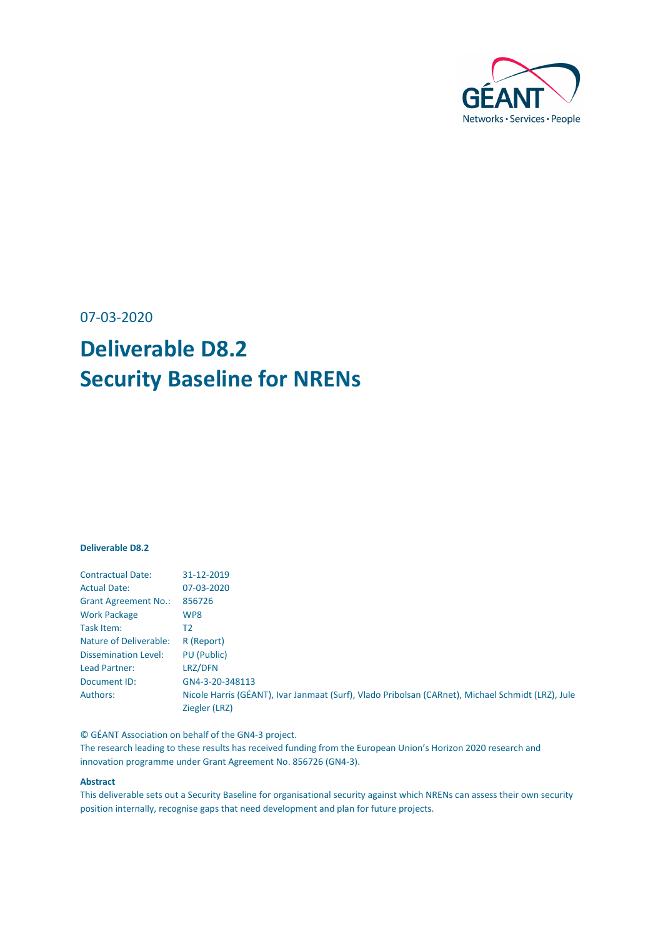

07-03-2020

# **Deliverable D8.2 Security Baseline for NRENs**

#### **Deliverable D8.2**

| <b>Contractual Date:</b>      | 31-12-2019                                                                                                         |
|-------------------------------|--------------------------------------------------------------------------------------------------------------------|
| <b>Actual Date:</b>           | 07-03-2020                                                                                                         |
| <b>Grant Agreement No.:</b>   | 856726                                                                                                             |
| <b>Work Package</b>           | WP8                                                                                                                |
| Task Item:                    | Т2                                                                                                                 |
| <b>Nature of Deliverable:</b> | R (Report)                                                                                                         |
| <b>Dissemination Level:</b>   | PU (Public)                                                                                                        |
| Lead Partner:                 | LRZ/DFN                                                                                                            |
| Document ID:                  | GN4-3-20-348113                                                                                                    |
| Authors:                      | Nicole Harris (GÉANT), Ivar Janmaat (Surf), Vlado Pribolsan (CARnet), Michael Schmidt (LRZ), Jule<br>Ziegler (LRZ) |
|                               |                                                                                                                    |

© GÉANT Association on behalf of the GN4-3 project.

The research leading to these results has received funding from the European Union's Horizon 2020 research and innovation programme under Grant Agreement No. 856726 (GN4-3).

#### **Abstract**

This deliverable sets out a Security Baseline for organisational security against which NRENs can assess their own security position internally, recognise gaps that need development and plan for future projects.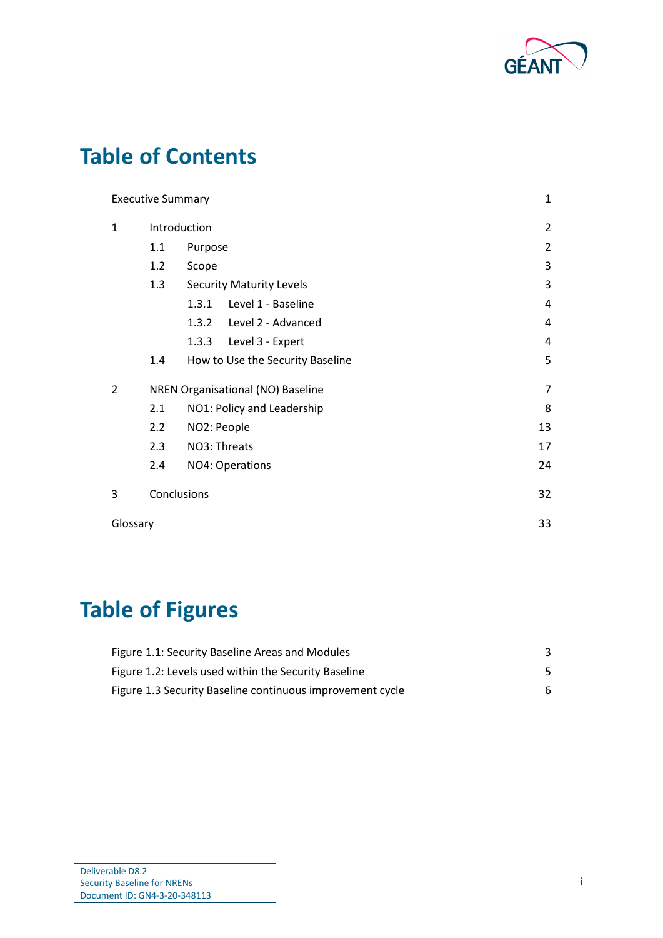

# **Table of Contents**

|              | <b>Executive Summary</b> |                                   | $\mathbf{1}$   |
|--------------|--------------------------|-----------------------------------|----------------|
| $\mathbf{1}$ |                          | Introduction                      | $\overline{2}$ |
|              | 1.1                      | Purpose                           | $\overline{2}$ |
|              | 1.2                      | Scope                             | 3              |
|              | 1.3                      | <b>Security Maturity Levels</b>   | 3              |
|              |                          | Level 1 - Baseline<br>1.3.1       | 4              |
|              |                          | Level 2 - Advanced<br>1.3.2       | 4              |
|              |                          | 1.3.3<br>Level 3 - Expert         | 4              |
|              | 1.4                      | How to Use the Security Baseline  | 5              |
| 2            |                          | NREN Organisational (NO) Baseline | $\overline{7}$ |
|              | 2.1                      | NO1: Policy and Leadership        | 8              |
|              | 2.2                      | NO2: People                       | 13             |
|              | 2.3                      | NO3: Threats                      | 17             |
|              | 2.4                      | NO4: Operations                   | 24             |
| 3            |                          | Conclusions                       | 32             |
| Glossary     |                          |                                   | 33             |

# **Table of Figures**

| Figure 1.1: Security Baseline Areas and Modules           |   |
|-----------------------------------------------------------|---|
| Figure 1.2: Levels used within the Security Baseline      |   |
| Figure 1.3 Security Baseline continuous improvement cycle | 6 |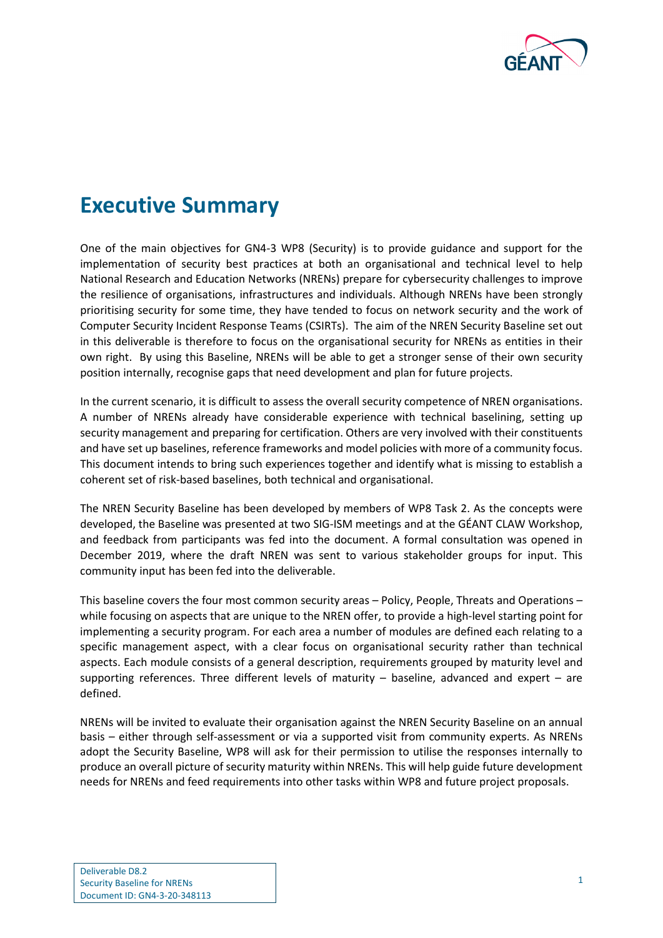

# <span id="page-2-0"></span>**Executive Summary**

One of the main objectives for GN4-3 WP8 (Security) is to provide guidance and support for the implementation of security best practices at both an organisational and technical level to help National Research and Education Networks (NRENs) prepare for cybersecurity challenges to improve the resilience of organisations, infrastructures and individuals. Although NRENs have been strongly prioritising security for some time, they have tended to focus on network security and the work of Computer Security Incident Response Teams (CSIRTs). The aim of the NREN Security Baseline set out in this deliverable is therefore to focus on the organisational security for NRENs as entities in their own right. By using this Baseline, NRENs will be able to get a stronger sense of their own security position internally, recognise gaps that need development and plan for future projects.

In the current scenario, it is difficult to assess the overall security competence of NREN organisations. A number of NRENs already have considerable experience with technical baselining, setting up security management and preparing for certification. Others are very involved with their constituents and have set up baselines, reference frameworks and model policies with more of a community focus. This document intends to bring such experiences together and identify what is missing to establish a coherent set of risk-based baselines, both technical and organisational.

The NREN Security Baseline has been developed by members of WP8 Task 2. As the concepts were developed, the Baseline was presented at two SIG-ISM meetings and at the GÉANT CLAW Workshop, and feedback from participants was fed into the document. A formal consultation was opened in December 2019, where the draft NREN was sent to various stakeholder groups for input. This community input has been fed into the deliverable.

This baseline covers the four most common security areas – Policy, People, Threats and Operations – while focusing on aspects that are unique to the NREN offer, to provide a high-level starting point for implementing a security program. For each area a number of modules are defined each relating to a specific management aspect, with a clear focus on organisational security rather than technical aspects. Each module consists of a general description, requirements grouped by maturity level and supporting references. Three different levels of maturity – baseline, advanced and expert – are defined.

NRENs will be invited to evaluate their organisation against the NREN Security Baseline on an annual basis – either through self-assessment or via a supported visit from community experts. As NRENs adopt the Security Baseline, WP8 will ask for their permission to utilise the responses internally to produce an overall picture of security maturity within NRENs. This will help guide future development needs for NRENs and feed requirements into other tasks within WP8 and future project proposals.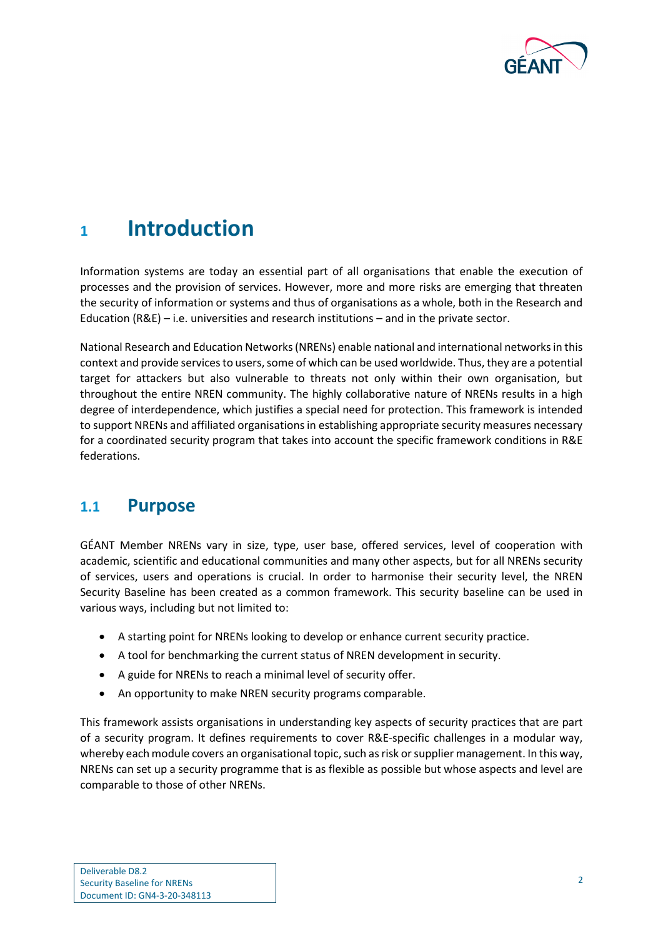

## <span id="page-3-0"></span>**<sup>1</sup> Introduction**

Information systems are today an essential part of all organisations that enable the execution of processes and the provision of services. However, more and more risks are emerging that threaten the security of information or systems and thus of organisations as a whole, both in the Research and Education (R&E) – i.e. universities and research institutions – and in the private sector.

National Research and Education Networks (NRENs) enable national and international networks in this context and provide services to users, some of which can be used worldwide. Thus, they are a potential target for attackers but also vulnerable to threats not only within their own organisation, but throughout the entire NREN community. The highly collaborative nature of NRENs results in a high degree of interdependence, which justifies a special need for protection. This framework is intended to support NRENs and affiliated organisations in establishing appropriate security measures necessary for a coordinated security program that takes into account the specific framework conditions in R&E federations.

### <span id="page-3-1"></span>**1.1 Purpose**

GÉANT Member NRENs vary in size, type, user base, offered services, level of cooperation with academic, scientific and educational communities and many other aspects, but for all NRENs security of services, users and operations is crucial. In order to harmonise their security level, the NREN Security Baseline has been created as a common framework. This security baseline can be used in various ways, including but not limited to:

- A starting point for NRENs looking to develop or enhance current security practice.
- A tool for benchmarking the current status of NREN development in security.
- A guide for NRENs to reach a minimal level of security offer.
- An opportunity to make NREN security programs comparable.

This framework assists organisations in understanding key aspects of security practices that are part of a security program. It defines requirements to cover R&E-specific challenges in a modular way, whereby each module covers an organisational topic, such as risk or supplier management. In this way, NRENs can set up a security programme that is as flexible as possible but whose aspects and level are comparable to those of other NRENs.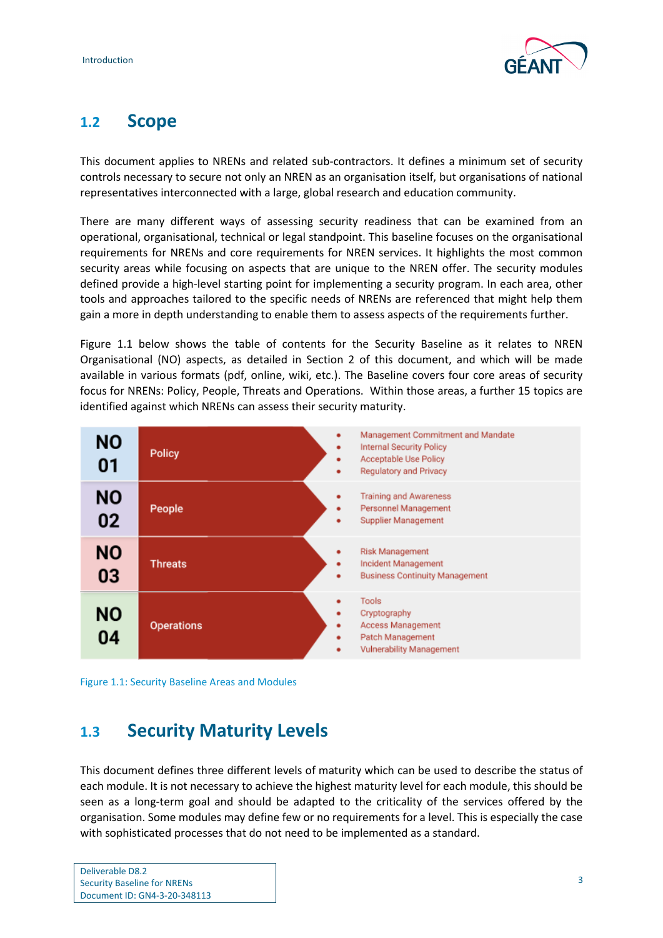

### <span id="page-4-0"></span>**1.2 Scope**

This document applies to NRENs and related sub-contractors. It defines a minimum set of security controls necessary to secure not only an NREN as an organisation itself, but organisations of national representatives interconnected with a large, global research and education community.

There are many different ways of assessing security readiness that can be examined from an operational, organisational, technical or legal standpoint. This baseline focuses on the organisational requirements for NRENs and core requirements for NREN services. It highlights the most common security areas while focusing on aspects that are unique to the NREN offer. The security modules defined provide a high-level starting point for implementing a security program. In each area, other tools and approaches tailored to the specific needs of NRENs are referenced that might help them gain a more in depth understanding to enable them to assess aspects of the requirements further.

[Figure 1.1](#page-4-2) below shows the table of contents for the Security Baseline as it relates to NREN Organisational (NO) aspects, as detailed in Section [2](#page-8-0) of this document, and which will be made available in various formats (pdf, online, wiki, etc.). The Baseline covers four core areas of security focus for NRENs: Policy, People, Threats and Operations. Within those areas, a further 15 topics are identified against which NRENs can assess their security maturity.



<span id="page-4-2"></span>

### <span id="page-4-1"></span>**1.3 Security Maturity Levels**

This document defines three different levels of maturity which can be used to describe the status of each module. It is not necessary to achieve the highest maturity level for each module, this should be seen as a long-term goal and should be adapted to the criticality of the services offered by the organisation. Some modules may define few or no requirements for a level. This is especially the case with sophisticated processes that do not need to be implemented as a standard.

| Deliverable D8.2                   |
|------------------------------------|
| <b>Security Baseline for NRENs</b> |
| Document ID: GN4-3-20-348113       |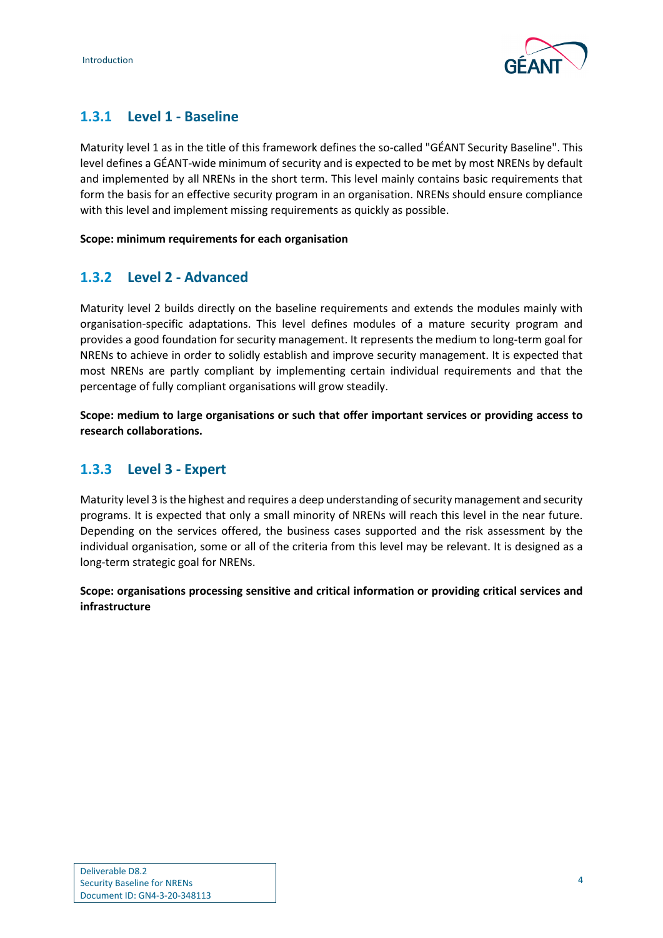

### <span id="page-5-0"></span>**1.3.1 Level 1 - Baseline**

Maturity level 1 as in the title of this framework defines the so-called "GÉANT Security Baseline". This level defines a GÉANT-wide minimum of security and is expected to be met by most NRENs by default and implemented by all NRENs in the short term. This level mainly contains basic requirements that form the basis for an effective security program in an organisation. NRENs should ensure compliance with this level and implement missing requirements as quickly as possible.

### **Scope: minimum requirements for each organisation**

### <span id="page-5-1"></span>**1.3.2 Level 2 - Advanced**

Maturity level 2 builds directly on the baseline requirements and extends the modules mainly with organisation-specific adaptations. This level defines modules of a mature security program and provides a good foundation for security management. It represents the medium to long-term goal for NRENs to achieve in order to solidly establish and improve security management. It is expected that most NRENs are partly compliant by implementing certain individual requirements and that the percentage of fully compliant organisations will grow steadily.

**Scope: medium to large organisations or such that offer important services or providing access to research collaborations.**

### <span id="page-5-2"></span>**1.3.3 Level 3 - Expert**

Maturity level 3 is the highest and requires a deep understanding of security management and security programs. It is expected that only a small minority of NRENs will reach this level in the near future. Depending on the services offered, the business cases supported and the risk assessment by the individual organisation, some or all of the criteria from this level may be relevant. It is designed as a long-term strategic goal for NRENs.

**Scope: organisations processing sensitive and critical information or providing critical services and infrastructure**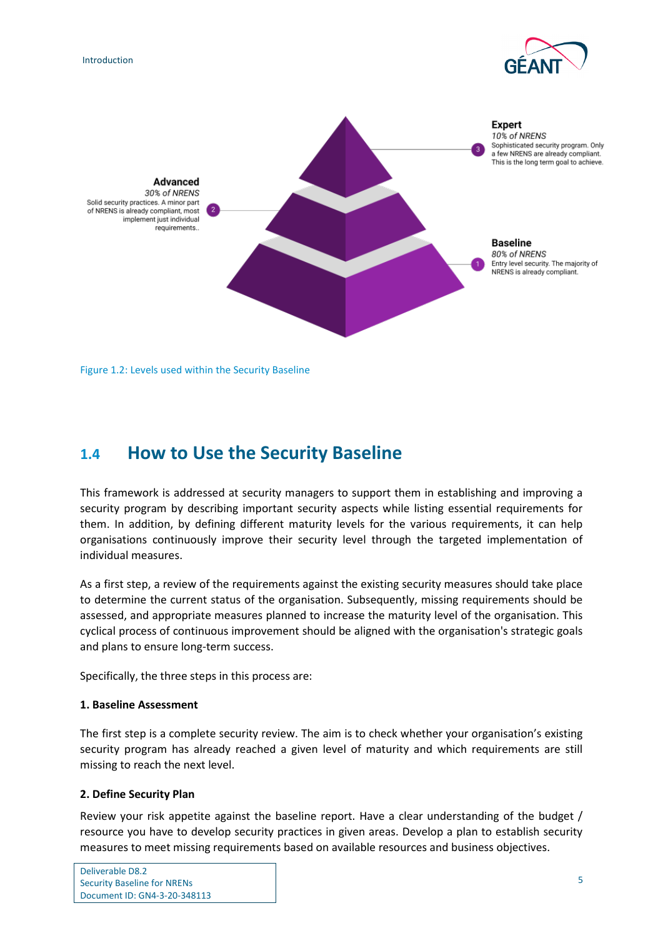





<span id="page-6-1"></span>Figure 1.2: Levels used within the Security Baseline

## <span id="page-6-0"></span>**1.4 How to Use the Security Baseline**

This framework is addressed at security managers to support them in establishing and improving a security program by describing important security aspects while listing essential requirements for them. In addition, by defining different maturity levels for the various requirements, it can help organisations continuously improve their security level through the targeted implementation of individual measures.

As a first step, a review of the requirements against the existing security measures should take place to determine the current status of the organisation. Subsequently, missing requirements should be assessed, and appropriate measures planned to increase the maturity level of the organisation. This cyclical process of continuous improvement should be aligned with the organisation's strategic goals and plans to ensure long-term success.

Specifically, the three steps in this process are:

### **1. Baseline Assessment**

The first step is a complete security review. The aim is to check whether your organisation's existing security program has already reached a given level of maturity and which requirements are still missing to reach the next level.

### **2. Define Security Plan**

Review your risk appetite against the baseline report. Have a clear understanding of the budget / resource you have to develop security practices in given areas. Develop a plan to establish security measures to meet missing requirements based on available resources and business objectives.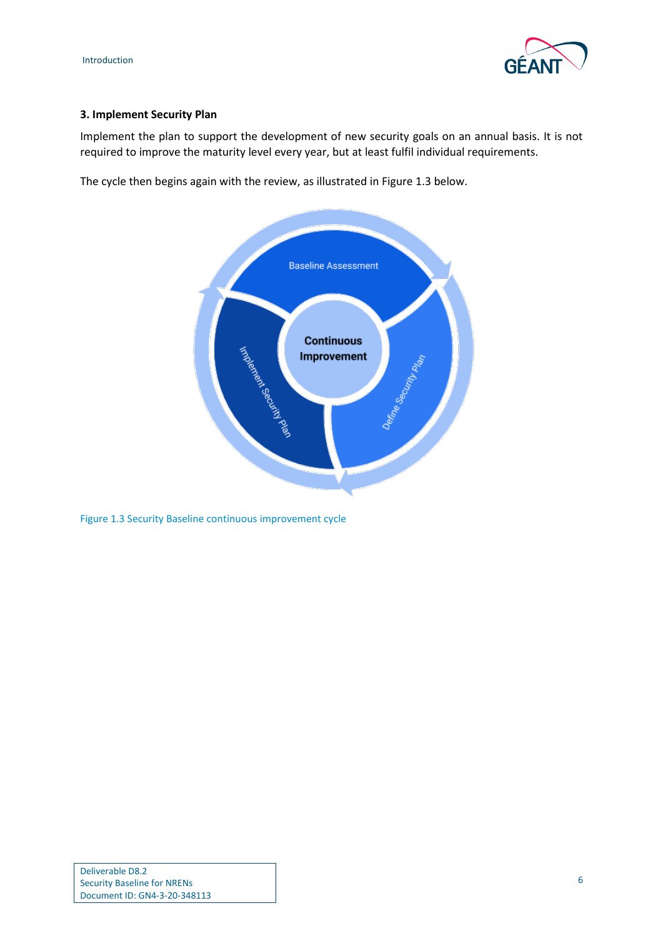



#### **3. Implement Security Plan**

Implement the plan to support the development of new security goals on an annual basis. It is not required to improve the maturity level every year, but at least fulfil individual requirements.

The cycle then begins again with the review, as illustrated in [Figure 1.3](#page-7-0) below.



<span id="page-7-0"></span>Figure 1.3 Security Baseline continuous improvement cycle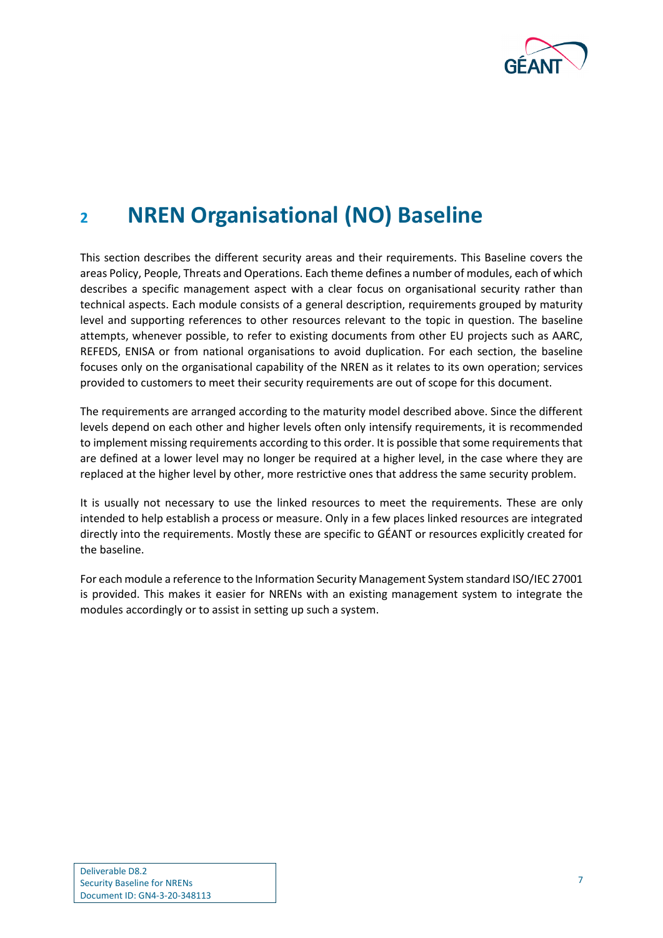

# <span id="page-8-0"></span>**<sup>2</sup> NREN Organisational (NO) Baseline**

This section describes the different security areas and their requirements. This Baseline covers the areas Policy, People, Threats and Operations. Each theme defines a number of modules, each of which describes a specific management aspect with a clear focus on organisational security rather than technical aspects. Each module consists of a general description, requirements grouped by maturity level and supporting references to other resources relevant to the topic in question. The baseline attempts, whenever possible, to refer to existing documents from other EU projects such as AARC, REFEDS, ENISA or from national organisations to avoid duplication. For each section, the baseline focuses only on the organisational capability of the NREN as it relates to its own operation; services provided to customers to meet their security requirements are out of scope for this document.

The requirements are arranged according to the maturity model described above. Since the different levels depend on each other and higher levels often only intensify requirements, it is recommended to implement missing requirements according to this order. It is possible that some requirements that are defined at a lower level may no longer be required at a higher level, in the case where they are replaced at the higher level by other, more restrictive ones that address the same security problem.

It is usually not necessary to use the linked resources to meet the requirements. These are only intended to help establish a process or measure. Only in a few places linked resources are integrated directly into the requirements. Mostly these are specific to GÉANT or resources explicitly created for the baseline.

For each module a reference to the Information Security Management System standard ISO/IEC 27001 is provided. This makes it easier for NRENs with an existing management system to integrate the modules accordingly or to assist in setting up such a system.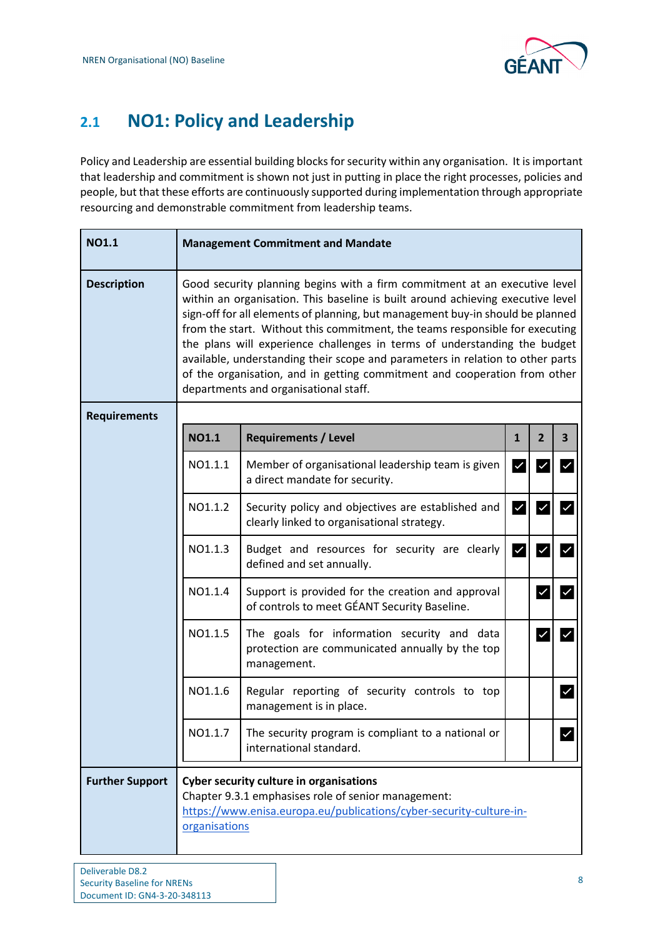

## <span id="page-9-0"></span>**2.1 NO1: Policy and Leadership**

Policy and Leadership are essential building blocks for security within any organisation. It is important that leadership and commitment is shown not just in putting in place the right processes, policies and people, but that these efforts are continuously supported during implementation through appropriate resourcing and demonstrable commitment from leadership teams.

| <b>NO1.1</b>           |                                                                                                                                                                                                                                                                                                                                                                                                                                                                                                                                                                                                                      | <b>Management Commitment and Mandate</b>                                                                      |                         |                         |                         |  |
|------------------------|----------------------------------------------------------------------------------------------------------------------------------------------------------------------------------------------------------------------------------------------------------------------------------------------------------------------------------------------------------------------------------------------------------------------------------------------------------------------------------------------------------------------------------------------------------------------------------------------------------------------|---------------------------------------------------------------------------------------------------------------|-------------------------|-------------------------|-------------------------|--|
| <b>Description</b>     | Good security planning begins with a firm commitment at an executive level<br>within an organisation. This baseline is built around achieving executive level<br>sign-off for all elements of planning, but management buy-in should be planned<br>from the start. Without this commitment, the teams responsible for executing<br>the plans will experience challenges in terms of understanding the budget<br>available, understanding their scope and parameters in relation to other parts<br>of the organisation, and in getting commitment and cooperation from other<br>departments and organisational staff. |                                                                                                               |                         |                         |                         |  |
| <b>Requirements</b>    |                                                                                                                                                                                                                                                                                                                                                                                                                                                                                                                                                                                                                      |                                                                                                               |                         |                         |                         |  |
|                        | <b>NO1.1</b>                                                                                                                                                                                                                                                                                                                                                                                                                                                                                                                                                                                                         | <b>Requirements / Level</b>                                                                                   | $\mathbf{1}$            | $\overline{2}$          | $\overline{\mathbf{3}}$ |  |
|                        | NO1.1.1                                                                                                                                                                                                                                                                                                                                                                                                                                                                                                                                                                                                              | Member of organisational leadership team is given<br>a direct mandate for security.                           | $\vert\mathcal{V}\vert$ | $\overline{\mathsf{v}}$ | $\checkmark$            |  |
|                        | NO1.1.2                                                                                                                                                                                                                                                                                                                                                                                                                                                                                                                                                                                                              | Security policy and objectives are established and<br>clearly linked to organisational strategy.              | $\checkmark$            | ∣✓                      |                         |  |
|                        | NO1.1.3                                                                                                                                                                                                                                                                                                                                                                                                                                                                                                                                                                                                              | Budget and resources for security are clearly<br>defined and set annually.                                    | $\checkmark$            | $\overline{\mathsf{v}}$ |                         |  |
|                        | NO1.1.4                                                                                                                                                                                                                                                                                                                                                                                                                                                                                                                                                                                                              | Support is provided for the creation and approval<br>of controls to meet GÉANT Security Baseline.             |                         | $\checkmark$            | $\checkmark$            |  |
|                        | NO1.1.5                                                                                                                                                                                                                                                                                                                                                                                                                                                                                                                                                                                                              | The goals for information security and data<br>protection are communicated annually by the top<br>management. |                         | $\checkmark$            |                         |  |
|                        | NO1.1.6                                                                                                                                                                                                                                                                                                                                                                                                                                                                                                                                                                                                              | Regular reporting of security controls to top<br>management is in place.                                      |                         |                         | $\checkmark$            |  |
|                        | NO1.1.7                                                                                                                                                                                                                                                                                                                                                                                                                                                                                                                                                                                                              | The security program is compliant to a national or<br>international standard.                                 |                         |                         | $\checkmark$            |  |
| <b>Further Support</b> | <b>Cyber security culture in organisations</b><br>Chapter 9.3.1 emphasises role of senior management:<br>https://www.enisa.europa.eu/publications/cyber-security-culture-in-<br>organisations                                                                                                                                                                                                                                                                                                                                                                                                                        |                                                                                                               |                         |                         |                         |  |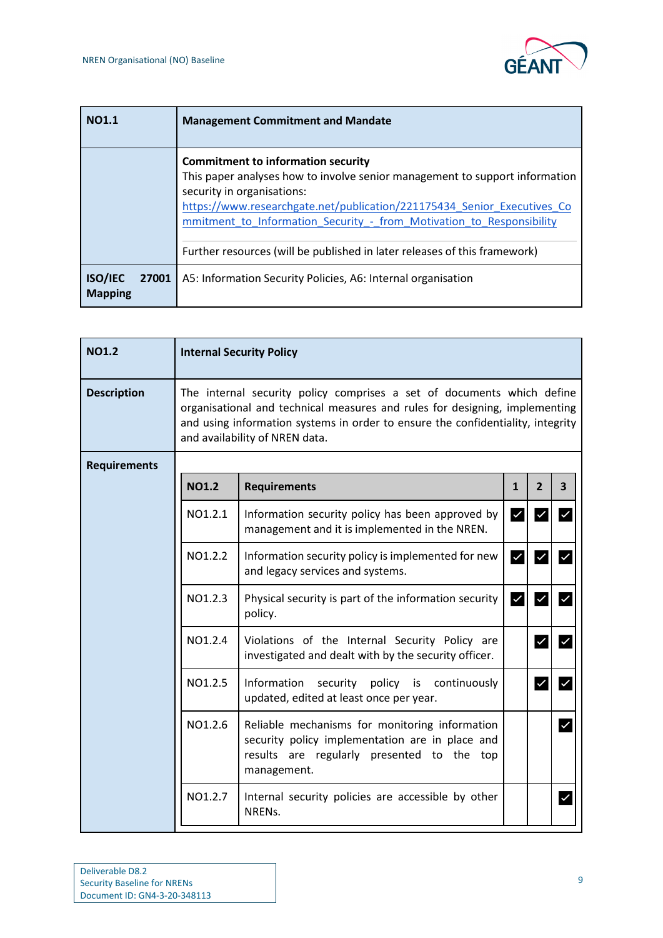

| <b>NO1.1</b>                              | <b>Management Commitment and Mandate</b>                                                                                                                                                                                                                                                                                                                                               |
|-------------------------------------------|----------------------------------------------------------------------------------------------------------------------------------------------------------------------------------------------------------------------------------------------------------------------------------------------------------------------------------------------------------------------------------------|
|                                           | <b>Commitment to information security</b><br>This paper analyses how to involve senior management to support information<br>security in organisations:<br>https://www.researchgate.net/publication/221175434 Senior Executives Co<br>mmitment to Information Security - from Motivation to Responsibility<br>Further resources (will be published in later releases of this framework) |
| <b>ISO/IEC</b><br>27001<br><b>Mapping</b> | A5: Information Security Policies, A6: Internal organisation                                                                                                                                                                                                                                                                                                                           |

| <b>NO1.2</b>        |              | <b>Internal Security Policy</b>                                                                                                                                                                                                                                            |              |                         |                         |  |  |  |
|---------------------|--------------|----------------------------------------------------------------------------------------------------------------------------------------------------------------------------------------------------------------------------------------------------------------------------|--------------|-------------------------|-------------------------|--|--|--|
| <b>Description</b>  |              | The internal security policy comprises a set of documents which define<br>organisational and technical measures and rules for designing, implementing<br>and using information systems in order to ensure the confidentiality, integrity<br>and availability of NREN data. |              |                         |                         |  |  |  |
| <b>Requirements</b> |              |                                                                                                                                                                                                                                                                            |              |                         |                         |  |  |  |
|                     | <b>NO1.2</b> | <b>Requirements</b>                                                                                                                                                                                                                                                        | $\mathbf{1}$ | $\overline{2}$          | $\overline{\mathbf{3}}$ |  |  |  |
|                     | NO1.2.1      | Information security policy has been approved by<br>management and it is implemented in the NREN.                                                                                                                                                                          | $\checkmark$ | $\checkmark$            | $\blacktriangledown$    |  |  |  |
|                     | NO1.2.2      | Information security policy is implemented for new<br>and legacy services and systems.                                                                                                                                                                                     | $\checkmark$ | $\overline{\checkmark}$ | $\checkmark$            |  |  |  |
|                     | NO1.2.3      | Physical security is part of the information security<br>policy.                                                                                                                                                                                                           | $\checkmark$ | $\overline{\mathsf{v}}$ | $\overline{\checkmark}$ |  |  |  |
|                     | NO1.2.4      | Violations of the Internal Security Policy are<br>investigated and dealt with by the security officer.                                                                                                                                                                     |              | $\checkmark$            | $\checkmark$            |  |  |  |
|                     | NO1.2.5      | Information<br>security policy is continuously<br>updated, edited at least once per year.                                                                                                                                                                                  |              | $\checkmark$            | $\checkmark$            |  |  |  |
|                     | NO1.2.6      | Reliable mechanisms for monitoring information<br>security policy implementation are in place and<br>results are regularly presented to the top<br>management.                                                                                                             |              |                         | $\checkmark$            |  |  |  |
|                     | NO1.2.7      | Internal security policies are accessible by other<br>NRENs.                                                                                                                                                                                                               |              |                         | $\checkmark$            |  |  |  |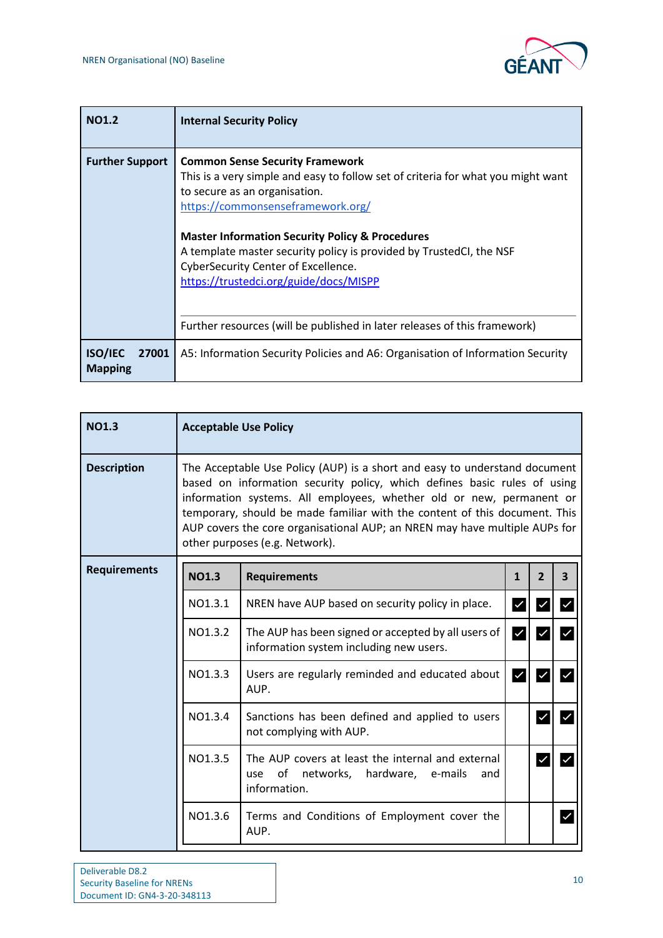

| <b>NO1.2</b>                              | <b>Internal Security Policy</b>                                                                                                                                                                                                                                                                                                                                                                                        |
|-------------------------------------------|------------------------------------------------------------------------------------------------------------------------------------------------------------------------------------------------------------------------------------------------------------------------------------------------------------------------------------------------------------------------------------------------------------------------|
| <b>Further Support</b>                    | <b>Common Sense Security Framework</b><br>This is a very simple and easy to follow set of criteria for what you might want<br>to secure as an organisation.<br>https://commonsenseframework.org/<br><b>Master Information Security Policy &amp; Procedures</b><br>A template master security policy is provided by TrustedCI, the NSF<br>CyberSecurity Center of Excellence.<br>https://trustedci.org/guide/docs/MISPP |
|                                           | Further resources (will be published in later releases of this framework)                                                                                                                                                                                                                                                                                                                                              |
| <b>ISO/IEC</b><br>27001<br><b>Mapping</b> | A5: Information Security Policies and A6: Organisation of Information Security                                                                                                                                                                                                                                                                                                                                         |

| <b>NO1.3</b>        | <b>Acceptable Use Policy</b>                                                                                                                                                                                                                                                                                                                                                                                                 |                                                                                                                   |                         |                         |              |  |
|---------------------|------------------------------------------------------------------------------------------------------------------------------------------------------------------------------------------------------------------------------------------------------------------------------------------------------------------------------------------------------------------------------------------------------------------------------|-------------------------------------------------------------------------------------------------------------------|-------------------------|-------------------------|--------------|--|
| <b>Description</b>  | The Acceptable Use Policy (AUP) is a short and easy to understand document<br>based on information security policy, which defines basic rules of using<br>information systems. All employees, whether old or new, permanent or<br>temporary, should be made familiar with the content of this document. This<br>AUP covers the core organisational AUP; an NREN may have multiple AUPs for<br>other purposes (e.g. Network). |                                                                                                                   |                         |                         |              |  |
| <b>Requirements</b> | <b>NO1.3</b>                                                                                                                                                                                                                                                                                                                                                                                                                 | <b>Requirements</b>                                                                                               | $\mathbf{1}$            | $\overline{2}$          | 3            |  |
|                     | NO1.3.1                                                                                                                                                                                                                                                                                                                                                                                                                      | NREN have AUP based on security policy in place.                                                                  | $\checkmark$            | √                       | $\checkmark$ |  |
|                     | NO1.3.2                                                                                                                                                                                                                                                                                                                                                                                                                      | The AUP has been signed or accepted by all users of<br>information system including new users.                    | $\overline{\checkmark}$ | $\overline{\checkmark}$ |              |  |
|                     | NO1.3.3                                                                                                                                                                                                                                                                                                                                                                                                                      | Users are regularly reminded and educated about<br>AUP.                                                           | $\overline{\vee}$       | $\checkmark$            |              |  |
|                     | NO1.3.4                                                                                                                                                                                                                                                                                                                                                                                                                      | Sanctions has been defined and applied to users<br>not complying with AUP.                                        |                         | ∣✓                      |              |  |
|                     | NO1.3.5                                                                                                                                                                                                                                                                                                                                                                                                                      | The AUP covers at least the internal and external<br>of networks, hardware, e-mails<br>use<br>and<br>information. |                         | ∣✓                      |              |  |
|                     | NO1.3.6                                                                                                                                                                                                                                                                                                                                                                                                                      | Terms and Conditions of Employment cover the<br>AUP.                                                              |                         |                         | $\checkmark$ |  |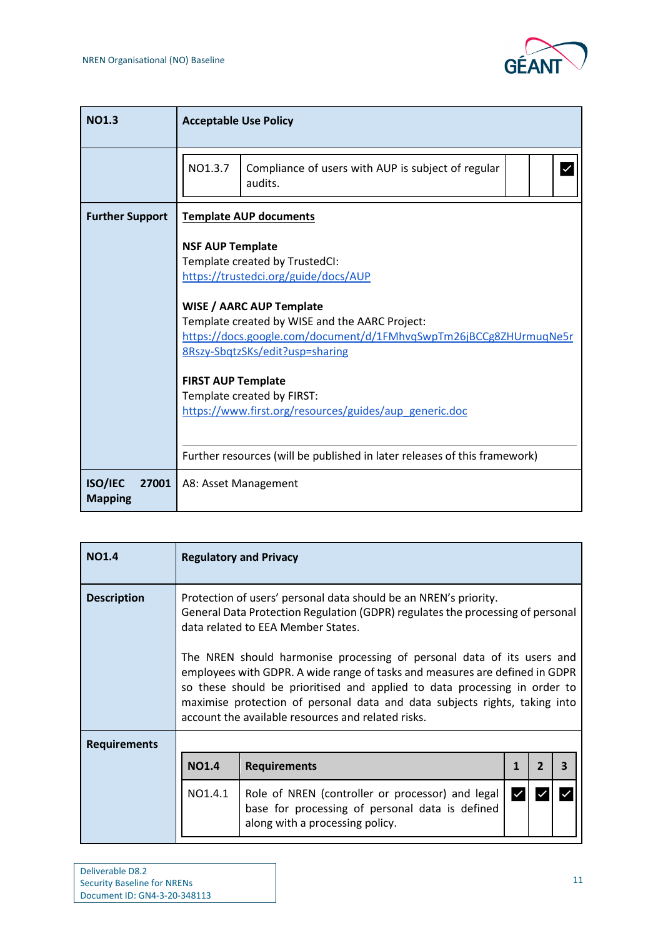

| <b>NO1.3</b>                              | <b>Acceptable Use Policy</b>                                                                                                                                                                                                                                                                                                                                                                                        |
|-------------------------------------------|---------------------------------------------------------------------------------------------------------------------------------------------------------------------------------------------------------------------------------------------------------------------------------------------------------------------------------------------------------------------------------------------------------------------|
|                                           | NO1.3.7<br>Compliance of users with AUP is subject of regular<br>audits.                                                                                                                                                                                                                                                                                                                                            |
| <b>Further Support</b>                    | <b>Template AUP documents</b>                                                                                                                                                                                                                                                                                                                                                                                       |
|                                           | <b>NSF AUP Template</b><br>Template created by TrustedCI:<br>https://trustedci.org/guide/docs/AUP<br><b>WISE / AARC AUP Template</b><br>Template created by WISE and the AARC Project:<br>https://docs.google.com/document/d/1FMhvqSwpTm26jBCCg8ZHUrmuqNe5r<br>8Rszy-SbqtzSKs/edit?usp=sharing<br><b>FIRST AUP Template</b><br>Template created by FIRST:<br>https://www.first.org/resources/guides/aup_generic.doc |
|                                           | Further resources (will be published in later releases of this framework)                                                                                                                                                                                                                                                                                                                                           |
| <b>ISO/IEC</b><br>27001<br><b>Mapping</b> | A8: Asset Management                                                                                                                                                                                                                                                                                                                                                                                                |

| <b>NO1.4</b>        |              | <b>Regulatory and Privacy</b>                                                                                                                                                                                                                                                                                                                                          |  |  |  |  |  |  |
|---------------------|--------------|------------------------------------------------------------------------------------------------------------------------------------------------------------------------------------------------------------------------------------------------------------------------------------------------------------------------------------------------------------------------|--|--|--|--|--|--|
| <b>Description</b>  |              | Protection of users' personal data should be an NREN's priority.<br>General Data Protection Regulation (GDPR) regulates the processing of personal<br>data related to EEA Member States.                                                                                                                                                                               |  |  |  |  |  |  |
|                     |              | The NREN should harmonise processing of personal data of its users and<br>employees with GDPR. A wide range of tasks and measures are defined in GDPR<br>so these should be prioritised and applied to data processing in order to<br>maximise protection of personal data and data subjects rights, taking into<br>account the available resources and related risks. |  |  |  |  |  |  |
| <b>Requirements</b> |              |                                                                                                                                                                                                                                                                                                                                                                        |  |  |  |  |  |  |
|                     | <b>NO1.4</b> | $\overline{2}$<br><b>Requirements</b><br>3                                                                                                                                                                                                                                                                                                                             |  |  |  |  |  |  |
|                     | NO1.4.1      | Role of NREN (controller or processor) and legal<br>base for processing of personal data is defined<br>along with a processing policy.                                                                                                                                                                                                                                 |  |  |  |  |  |  |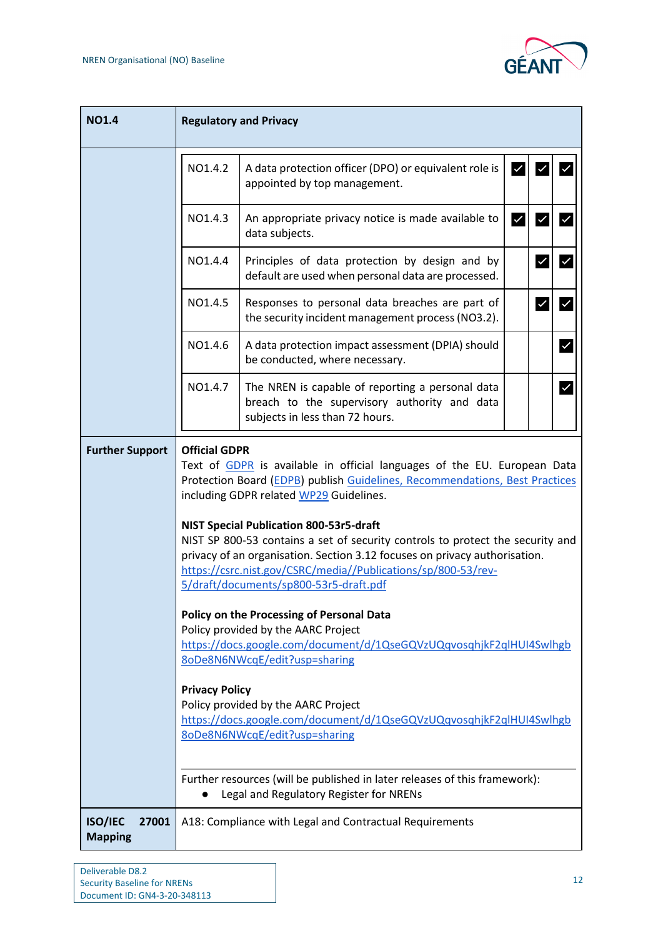

| <b>NO1.4</b>                              | <b>Regulatory and Privacy</b>                                                                                         |                                                                                                                                                                                                                                                                                                                                                                                                                                                                                                                                                                                                                                                                                                                                                                                                                                                                                                                             |                         |              |              |  |  |
|-------------------------------------------|-----------------------------------------------------------------------------------------------------------------------|-----------------------------------------------------------------------------------------------------------------------------------------------------------------------------------------------------------------------------------------------------------------------------------------------------------------------------------------------------------------------------------------------------------------------------------------------------------------------------------------------------------------------------------------------------------------------------------------------------------------------------------------------------------------------------------------------------------------------------------------------------------------------------------------------------------------------------------------------------------------------------------------------------------------------------|-------------------------|--------------|--------------|--|--|
|                                           | NO1.4.2                                                                                                               | A data protection officer (DPO) or equivalent role is<br>appointed by top management.                                                                                                                                                                                                                                                                                                                                                                                                                                                                                                                                                                                                                                                                                                                                                                                                                                       | $\overline{\mathsf{v}}$ |              |              |  |  |
|                                           | NO1.4.3                                                                                                               | An appropriate privacy notice is made available to<br>data subjects.                                                                                                                                                                                                                                                                                                                                                                                                                                                                                                                                                                                                                                                                                                                                                                                                                                                        | $\overline{\mathsf{v}}$ | $\checkmark$ |              |  |  |
|                                           | NO1.4.4                                                                                                               | Principles of data protection by design and by<br>default are used when personal data are processed.                                                                                                                                                                                                                                                                                                                                                                                                                                                                                                                                                                                                                                                                                                                                                                                                                        |                         | $\checkmark$ |              |  |  |
|                                           | NO1.4.5                                                                                                               | Responses to personal data breaches are part of<br>the security incident management process (NO3.2).                                                                                                                                                                                                                                                                                                                                                                                                                                                                                                                                                                                                                                                                                                                                                                                                                        |                         |              |              |  |  |
|                                           | NO1.4.6                                                                                                               | A data protection impact assessment (DPIA) should<br>be conducted, where necessary.                                                                                                                                                                                                                                                                                                                                                                                                                                                                                                                                                                                                                                                                                                                                                                                                                                         |                         |              | $\checkmark$ |  |  |
|                                           | NO1.4.7                                                                                                               | The NREN is capable of reporting a personal data<br>breach to the supervisory authority and data<br>subjects in less than 72 hours.                                                                                                                                                                                                                                                                                                                                                                                                                                                                                                                                                                                                                                                                                                                                                                                         |                         |              | $\checkmark$ |  |  |
| <b>Further Support</b>                    | Further resources (will be published in later releases of this framework):<br>Legal and Regulatory Register for NRENs | <b>Official GDPR</b><br>Text of GDPR is available in official languages of the EU. European Data<br>Protection Board (EDPB) publish Guidelines, Recommendations, Best Practices<br>including GDPR related WP29 Guidelines.<br><b>NIST Special Publication 800-53r5-draft</b><br>NIST SP 800-53 contains a set of security controls to protect the security and<br>privacy of an organisation. Section 3.12 focuses on privacy authorisation.<br>https://csrc.nist.gov/CSRC/media//Publications/sp/800-53/rev-<br>5/draft/documents/sp800-53r5-draft.pdf<br>Policy on the Processing of Personal Data<br>Policy provided by the AARC Project<br>https://docs.google.com/document/d/1QseGQVzUQqvosqhjkF2qlHUI4Swlhgb<br>8oDe8N6NWcqE/edit?usp=sharing<br><b>Privacy Policy</b><br>Policy provided by the AARC Project<br>https://docs.google.com/document/d/1QseGQVzUQqvosqhjkF2qlHUI4Swlhgb<br>8oDe8N6NWcqE/edit?usp=sharing |                         |              |              |  |  |
| <b>ISO/IEC</b><br>27001<br><b>Mapping</b> |                                                                                                                       | A18: Compliance with Legal and Contractual Requirements                                                                                                                                                                                                                                                                                                                                                                                                                                                                                                                                                                                                                                                                                                                                                                                                                                                                     |                         |              |              |  |  |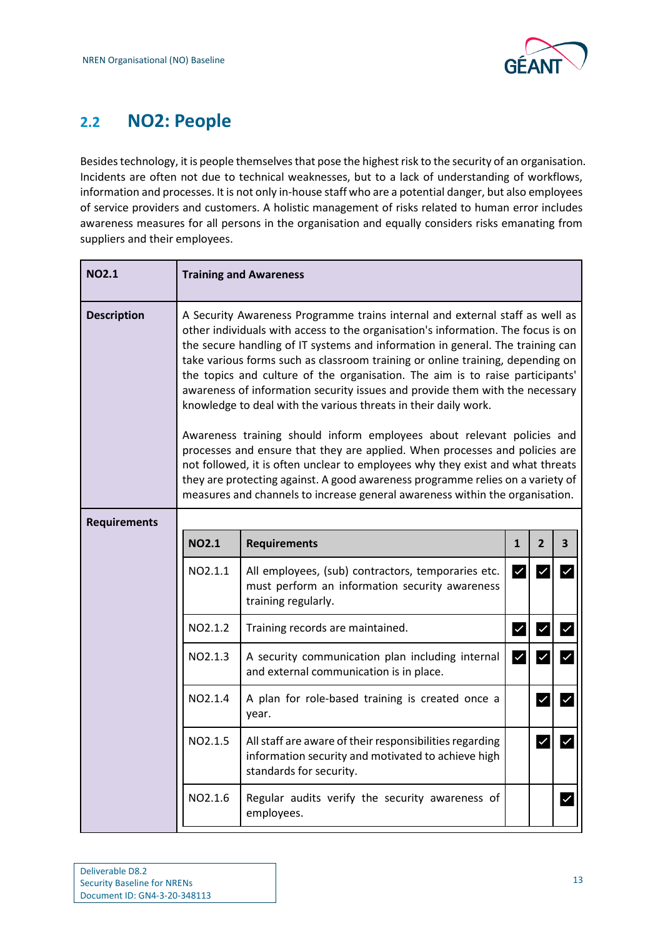

## <span id="page-14-0"></span>**2.2 NO2: People**

Besides technology, it is people themselves that pose the highest risk to the security of an organisation. Incidents are often not due to technical weaknesses, but to a lack of understanding of workflows, information and processes. It is not only in-house staff who are a potential danger, but also employees of service providers and customers. A holistic management of risks related to human error includes awareness measures for all persons in the organisation and equally considers risks emanating from suppliers and their employees.

| <b>NO2.1</b>        |                                                                                                                                                                                                                                                                                                                                                                                                                                                                                                                                                                                                                                                                                                                                                                                                                                                                                                                                                                                       | <b>Training and Awareness</b>                                                                                                            |              |                |                         |  |
|---------------------|---------------------------------------------------------------------------------------------------------------------------------------------------------------------------------------------------------------------------------------------------------------------------------------------------------------------------------------------------------------------------------------------------------------------------------------------------------------------------------------------------------------------------------------------------------------------------------------------------------------------------------------------------------------------------------------------------------------------------------------------------------------------------------------------------------------------------------------------------------------------------------------------------------------------------------------------------------------------------------------|------------------------------------------------------------------------------------------------------------------------------------------|--------------|----------------|-------------------------|--|
| <b>Description</b>  | A Security Awareness Programme trains internal and external staff as well as<br>other individuals with access to the organisation's information. The focus is on<br>the secure handling of IT systems and information in general. The training can<br>take various forms such as classroom training or online training, depending on<br>the topics and culture of the organisation. The aim is to raise participants'<br>awareness of information security issues and provide them with the necessary<br>knowledge to deal with the various threats in their daily work.<br>Awareness training should inform employees about relevant policies and<br>processes and ensure that they are applied. When processes and policies are<br>not followed, it is often unclear to employees why they exist and what threats<br>they are protecting against. A good awareness programme relies on a variety of<br>measures and channels to increase general awareness within the organisation. |                                                                                                                                          |              |                |                         |  |
| <b>Requirements</b> |                                                                                                                                                                                                                                                                                                                                                                                                                                                                                                                                                                                                                                                                                                                                                                                                                                                                                                                                                                                       |                                                                                                                                          |              |                |                         |  |
|                     | <b>NO2.1</b>                                                                                                                                                                                                                                                                                                                                                                                                                                                                                                                                                                                                                                                                                                                                                                                                                                                                                                                                                                          | <b>Requirements</b>                                                                                                                      | $\mathbf{1}$ | $\overline{2}$ | 3                       |  |
|                     | NO2.1.1                                                                                                                                                                                                                                                                                                                                                                                                                                                                                                                                                                                                                                                                                                                                                                                                                                                                                                                                                                               | All employees, (sub) contractors, temporaries etc.<br>must perform an information security awareness<br>training regularly.              | √            | $\checkmark$   | $\checkmark$            |  |
|                     | NO2.1.2                                                                                                                                                                                                                                                                                                                                                                                                                                                                                                                                                                                                                                                                                                                                                                                                                                                                                                                                                                               | Training records are maintained.                                                                                                         | $\checkmark$ | $\checkmark$   | $\checkmark$            |  |
|                     | NO2.1.3                                                                                                                                                                                                                                                                                                                                                                                                                                                                                                                                                                                                                                                                                                                                                                                                                                                                                                                                                                               | A security communication plan including internal<br>and external communication is in place.                                              | $\checkmark$ | $\checkmark$   | $\checkmark$            |  |
|                     | NO2.1.4                                                                                                                                                                                                                                                                                                                                                                                                                                                                                                                                                                                                                                                                                                                                                                                                                                                                                                                                                                               | A plan for role-based training is created once a<br>year.                                                                                |              | $\checkmark$   | $\overline{\checkmark}$ |  |
|                     | NO2.1.5                                                                                                                                                                                                                                                                                                                                                                                                                                                                                                                                                                                                                                                                                                                                                                                                                                                                                                                                                                               | All staff are aware of their responsibilities regarding<br>information security and motivated to achieve high<br>standards for security. |              | $\checkmark$   | $\checkmark$            |  |
|                     | NO2.1.6                                                                                                                                                                                                                                                                                                                                                                                                                                                                                                                                                                                                                                                                                                                                                                                                                                                                                                                                                                               | Regular audits verify the security awareness of<br>employees.                                                                            |              |                | $\checkmark$            |  |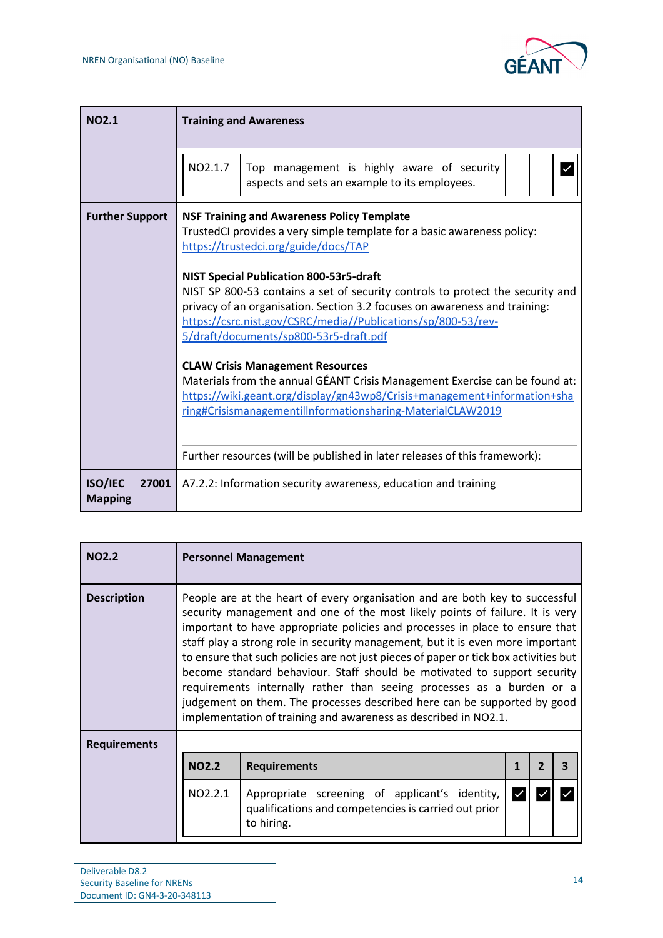

| NO <sub>2.1</sub>                         | <b>Training and Awareness</b>                                                                                                                                                                                                                                                                                                                                                                                                                                                                                                                                                                                                                                                                                                                                                                                                                       |
|-------------------------------------------|-----------------------------------------------------------------------------------------------------------------------------------------------------------------------------------------------------------------------------------------------------------------------------------------------------------------------------------------------------------------------------------------------------------------------------------------------------------------------------------------------------------------------------------------------------------------------------------------------------------------------------------------------------------------------------------------------------------------------------------------------------------------------------------------------------------------------------------------------------|
|                                           | NO2.1.7<br>Top management is highly aware of security<br>aspects and sets an example to its employees.                                                                                                                                                                                                                                                                                                                                                                                                                                                                                                                                                                                                                                                                                                                                              |
| <b>Further Support</b>                    | <b>NSF Training and Awareness Policy Template</b><br>TrustedCI provides a very simple template for a basic awareness policy:<br>https://trustedci.org/guide/docs/TAP<br><b>NIST Special Publication 800-53r5-draft</b><br>NIST SP 800-53 contains a set of security controls to protect the security and<br>privacy of an organisation. Section 3.2 focuses on awareness and training:<br>https://csrc.nist.gov/CSRC/media//Publications/sp/800-53/rev-<br>5/draft/documents/sp800-53r5-draft.pdf<br><b>CLAW Crisis Management Resources</b><br>Materials from the annual GÉANT Crisis Management Exercise can be found at:<br>https://wiki.geant.org/display/gn43wp8/Crisis+management+information+sha<br>ring#Crisismanagementillnformationsharing-MaterialCLAW2019<br>Further resources (will be published in later releases of this framework): |
| <b>ISO/IEC</b><br>27001<br><b>Mapping</b> | A7.2.2: Information security awareness, education and training                                                                                                                                                                                                                                                                                                                                                                                                                                                                                                                                                                                                                                                                                                                                                                                      |

| <b>NO2.2</b>        | <b>Personnel Management</b>                                                                                                                                                                                                                                                                                                                                                                                                                                                                                                                                                                                                                                                                                                |                                                                                                                      |  |  |  |  |  |  |  |
|---------------------|----------------------------------------------------------------------------------------------------------------------------------------------------------------------------------------------------------------------------------------------------------------------------------------------------------------------------------------------------------------------------------------------------------------------------------------------------------------------------------------------------------------------------------------------------------------------------------------------------------------------------------------------------------------------------------------------------------------------------|----------------------------------------------------------------------------------------------------------------------|--|--|--|--|--|--|--|
| <b>Description</b>  | People are at the heart of every organisation and are both key to successful<br>security management and one of the most likely points of failure. It is very<br>important to have appropriate policies and processes in place to ensure that<br>staff play a strong role in security management, but it is even more important<br>to ensure that such policies are not just pieces of paper or tick box activities but<br>become standard behaviour. Staff should be motivated to support security<br>requirements internally rather than seeing processes as a burden or a<br>judgement on them. The processes described here can be supported by good<br>implementation of training and awareness as described in NO2.1. |                                                                                                                      |  |  |  |  |  |  |  |
| <b>Requirements</b> |                                                                                                                                                                                                                                                                                                                                                                                                                                                                                                                                                                                                                                                                                                                            |                                                                                                                      |  |  |  |  |  |  |  |
|                     | <b>NO2.2</b>                                                                                                                                                                                                                                                                                                                                                                                                                                                                                                                                                                                                                                                                                                               | <b>Requirements</b><br>3<br>2<br>1                                                                                   |  |  |  |  |  |  |  |
|                     | NO2.2.1                                                                                                                                                                                                                                                                                                                                                                                                                                                                                                                                                                                                                                                                                                                    | Appropriate screening of applicant's identity,<br>qualifications and competencies is carried out prior<br>to hiring. |  |  |  |  |  |  |  |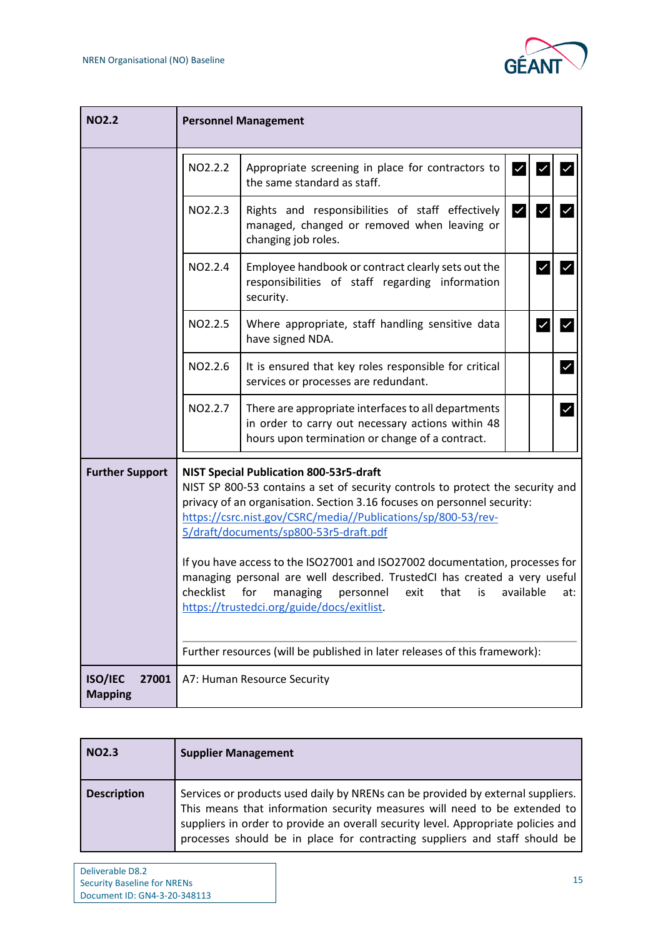

| <b>NO2.2</b>                              | <b>Personnel Management</b>                                                                                                                                                                                                                                                                                                                                                                                                                                                                                                                                                                                              |                                                                                                                                                             |                         |              |              |  |  |
|-------------------------------------------|--------------------------------------------------------------------------------------------------------------------------------------------------------------------------------------------------------------------------------------------------------------------------------------------------------------------------------------------------------------------------------------------------------------------------------------------------------------------------------------------------------------------------------------------------------------------------------------------------------------------------|-------------------------------------------------------------------------------------------------------------------------------------------------------------|-------------------------|--------------|--------------|--|--|
|                                           | NO2.2.2                                                                                                                                                                                                                                                                                                                                                                                                                                                                                                                                                                                                                  | Appropriate screening in place for contractors to<br>the same standard as staff.                                                                            | $\overline{\mathsf{v}}$ |              |              |  |  |
|                                           | NO2.2.3                                                                                                                                                                                                                                                                                                                                                                                                                                                                                                                                                                                                                  | Rights and responsibilities of staff effectively<br>managed, changed or removed when leaving or<br>changing job roles.                                      | $\overline{\mathsf{v}}$ | √            |              |  |  |
|                                           | NO2.2.4                                                                                                                                                                                                                                                                                                                                                                                                                                                                                                                                                                                                                  | Employee handbook or contract clearly sets out the<br>responsibilities of staff regarding information<br>security.                                          |                         | $\checkmark$ | $\checkmark$ |  |  |
|                                           | NO2.2.5                                                                                                                                                                                                                                                                                                                                                                                                                                                                                                                                                                                                                  | Where appropriate, staff handling sensitive data<br>have signed NDA.                                                                                        |                         | ∣✓           | $\checkmark$ |  |  |
|                                           | NO2.2.6                                                                                                                                                                                                                                                                                                                                                                                                                                                                                                                                                                                                                  | It is ensured that key roles responsible for critical<br>services or processes are redundant.                                                               |                         |              | $\checkmark$ |  |  |
|                                           | NO2.2.7                                                                                                                                                                                                                                                                                                                                                                                                                                                                                                                                                                                                                  | There are appropriate interfaces to all departments<br>in order to carry out necessary actions within 48<br>hours upon termination or change of a contract. |                         |              | $\checkmark$ |  |  |
| <b>Further Support</b>                    | <b>NIST Special Publication 800-53r5-draft</b><br>NIST SP 800-53 contains a set of security controls to protect the security and<br>privacy of an organisation. Section 3.16 focuses on personnel security:<br>https://csrc.nist.gov/CSRC/media//Publications/sp/800-53/rev-<br>5/draft/documents/sp800-53r5-draft.pdf<br>If you have access to the ISO27001 and ISO27002 documentation, processes for<br>managing personal are well described. TrustedCI has created a very useful<br>checklist<br>for<br>managing<br>personnel<br>exit<br>that<br>available<br>is<br>at:<br>https://trustedci.org/guide/docs/exitlist. |                                                                                                                                                             |                         |              |              |  |  |
|                                           |                                                                                                                                                                                                                                                                                                                                                                                                                                                                                                                                                                                                                          | Further resources (will be published in later releases of this framework):                                                                                  |                         |              |              |  |  |
| <b>ISO/IEC</b><br>27001<br><b>Mapping</b> |                                                                                                                                                                                                                                                                                                                                                                                                                                                                                                                                                                                                                          | A7: Human Resource Security                                                                                                                                 |                         |              |              |  |  |

| <b>NO2.3</b>       | <b>Supplier Management</b>                                                                                                                                                                                                                                                                                                      |
|--------------------|---------------------------------------------------------------------------------------------------------------------------------------------------------------------------------------------------------------------------------------------------------------------------------------------------------------------------------|
| <b>Description</b> | Services or products used daily by NRENs can be provided by external suppliers.<br>This means that information security measures will need to be extended to<br>suppliers in order to provide an overall security level. Appropriate policies and<br>processes should be in place for contracting suppliers and staff should be |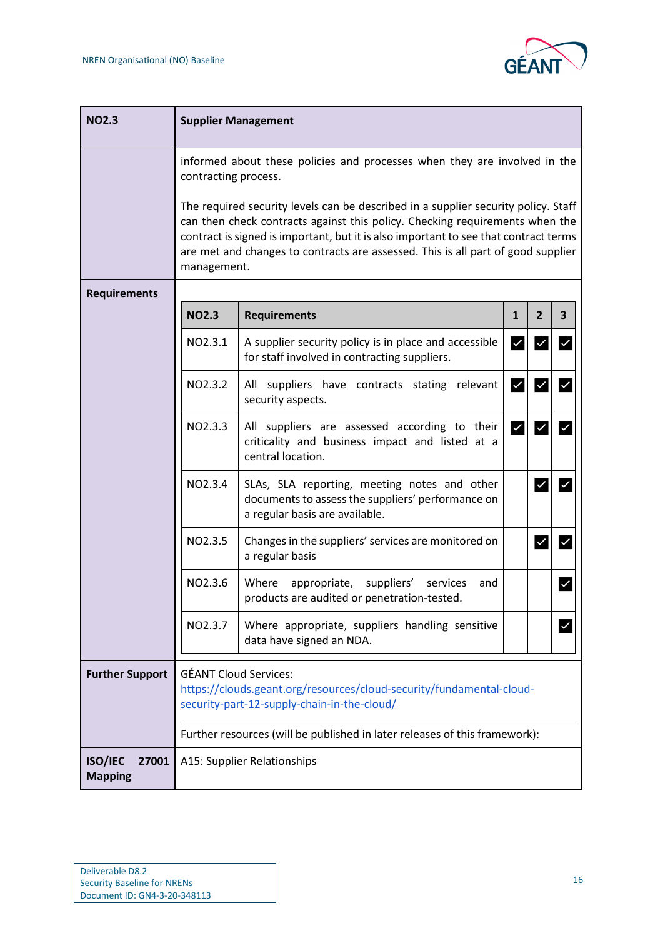

| <b>NO2.3</b>                              | <b>Supplier Management</b>                                                                                                                                                                                                                                                                                                                                    |                                                                                                                                     |              |                         |                         |  |  |  |
|-------------------------------------------|---------------------------------------------------------------------------------------------------------------------------------------------------------------------------------------------------------------------------------------------------------------------------------------------------------------------------------------------------------------|-------------------------------------------------------------------------------------------------------------------------------------|--------------|-------------------------|-------------------------|--|--|--|
|                                           |                                                                                                                                                                                                                                                                                                                                                               | informed about these policies and processes when they are involved in the<br>contracting process.                                   |              |                         |                         |  |  |  |
|                                           | The required security levels can be described in a supplier security policy. Staff<br>can then check contracts against this policy. Checking requirements when the<br>contract is signed is important, but it is also important to see that contract terms<br>are met and changes to contracts are assessed. This is all part of good supplier<br>management. |                                                                                                                                     |              |                         |                         |  |  |  |
| <b>Requirements</b>                       |                                                                                                                                                                                                                                                                                                                                                               |                                                                                                                                     |              |                         |                         |  |  |  |
|                                           | <b>NO2.3</b>                                                                                                                                                                                                                                                                                                                                                  | <b>Requirements</b>                                                                                                                 | $\mathbf{1}$ | $\overline{2}$          | $\overline{\mathbf{3}}$ |  |  |  |
|                                           | NO2.3.1                                                                                                                                                                                                                                                                                                                                                       | A supplier security policy is in place and accessible<br>for staff involved in contracting suppliers.                               | $\checkmark$ | $\checkmark$            | $\checkmark$            |  |  |  |
|                                           | NO2.3.2                                                                                                                                                                                                                                                                                                                                                       | All suppliers have contracts stating relevant<br>security aspects.                                                                  | $\checkmark$ | $\checkmark$            | $\checkmark$            |  |  |  |
|                                           | NO2.3.3                                                                                                                                                                                                                                                                                                                                                       | All suppliers are assessed according to their<br>criticality and business impact and listed at a<br>central location.               | $\checkmark$ | $\checkmark$            | $\checkmark$            |  |  |  |
|                                           | NO2.3.4                                                                                                                                                                                                                                                                                                                                                       | SLAs, SLA reporting, meeting notes and other<br>documents to assess the suppliers' performance on<br>a regular basis are available. |              | $\checkmark$            | $\checkmark$            |  |  |  |
|                                           | NO2.3.5                                                                                                                                                                                                                                                                                                                                                       | Changes in the suppliers' services are monitored on<br>a regular basis                                                              |              | $\overline{\mathsf{v}}$ | $\checkmark$            |  |  |  |
|                                           | NO2.3.6                                                                                                                                                                                                                                                                                                                                                       | Where<br>suppliers'<br>appropriate,<br>services<br>and<br>products are audited or penetration-tested.                               |              |                         | $\blacktriangledown$    |  |  |  |
|                                           | NO2.3.7                                                                                                                                                                                                                                                                                                                                                       | Where appropriate, suppliers handling sensitive<br>data have signed an NDA.                                                         |              |                         |                         |  |  |  |
| <b>Further Support</b>                    | <b>GÉANT Cloud Services:</b><br>https://clouds.geant.org/resources/cloud-security/fundamental-cloud-<br>security-part-12-supply-chain-in-the-cloud/                                                                                                                                                                                                           |                                                                                                                                     |              |                         |                         |  |  |  |
|                                           |                                                                                                                                                                                                                                                                                                                                                               | Further resources (will be published in later releases of this framework):                                                          |              |                         |                         |  |  |  |
| <b>ISO/IEC</b><br>27001<br><b>Mapping</b> | A15: Supplier Relationships                                                                                                                                                                                                                                                                                                                                   |                                                                                                                                     |              |                         |                         |  |  |  |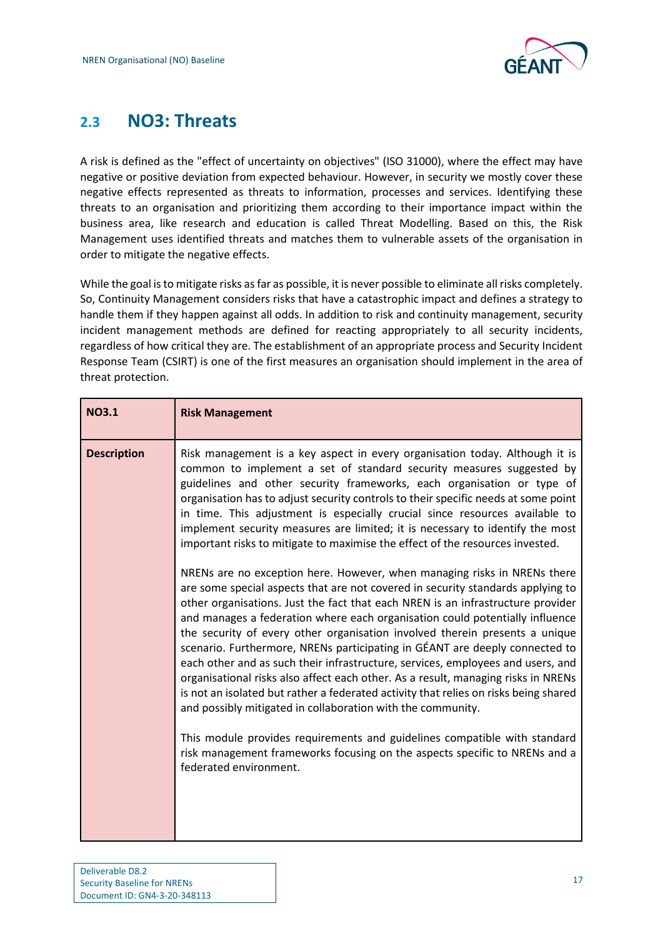

## <span id="page-18-0"></span>**2.3 NO3: Threats**

A risk is defined as the "effect of uncertainty on objectives" (ISO 31000), where the effect may have negative or positive deviation from expected behaviour. However, in security we mostly cover these negative effects represented as threats to information, processes and services. Identifying these threats to an organisation and prioritizing them according to their importance impact within the business area, like research and education is called Threat Modelling. Based on this, the Risk Management uses identified threats and matches them to vulnerable assets of the organisation in order to mitigate the negative effects.

While the goal is to mitigate risks as far as possible, it is never possible to eliminate all risks completely. So, Continuity Management considers risks that have a catastrophic impact and defines a strategy to handle them if they happen against all odds. In addition to risk and continuity management, security incident management methods are defined for reacting appropriately to all security incidents, regardless of how critical they are. The establishment of an appropriate process and Security Incident Response Team (CSIRT) is one of the first measures an organisation should implement in the area of threat protection.

| <b>NO3.1</b>       | <b>Risk Management</b>                                                                                                                                                                                                                                                                                                                                                                                                                                                                                                                                                                                                                                                                                                                          |
|--------------------|-------------------------------------------------------------------------------------------------------------------------------------------------------------------------------------------------------------------------------------------------------------------------------------------------------------------------------------------------------------------------------------------------------------------------------------------------------------------------------------------------------------------------------------------------------------------------------------------------------------------------------------------------------------------------------------------------------------------------------------------------|
| <b>Description</b> | Risk management is a key aspect in every organisation today. Although it is<br>common to implement a set of standard security measures suggested by<br>guidelines and other security frameworks, each organisation or type of<br>organisation has to adjust security controls to their specific needs at some point<br>in time. This adjustment is especially crucial since resources available to<br>implement security measures are limited; it is necessary to identify the most<br>important risks to mitigate to maximise the effect of the resources invested.<br>NRENs are no exception here. However, when managing risks in NRENs there                                                                                                |
|                    | are some special aspects that are not covered in security standards applying to<br>other organisations. Just the fact that each NREN is an infrastructure provider<br>and manages a federation where each organisation could potentially influence<br>the security of every other organisation involved therein presents a unique<br>scenario. Furthermore, NRENs participating in GÉANT are deeply connected to<br>each other and as such their infrastructure, services, employees and users, and<br>organisational risks also affect each other. As a result, managing risks in NRENs<br>is not an isolated but rather a federated activity that relies on risks being shared<br>and possibly mitigated in collaboration with the community. |
|                    | This module provides requirements and guidelines compatible with standard<br>risk management frameworks focusing on the aspects specific to NRENs and a<br>federated environment.                                                                                                                                                                                                                                                                                                                                                                                                                                                                                                                                                               |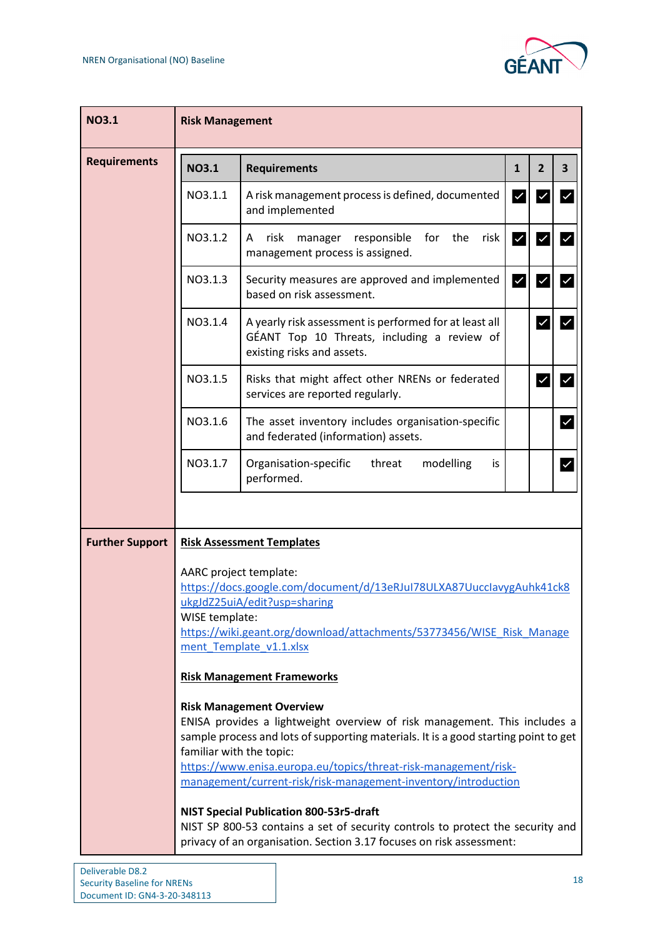

| <b>NO3.1</b>           | <b>Risk Management</b>                                                                                                                                                                                                                               |                                                                                                                                                                                                                                                                                                                                          |                         |                         |                         |  |  |  |
|------------------------|------------------------------------------------------------------------------------------------------------------------------------------------------------------------------------------------------------------------------------------------------|------------------------------------------------------------------------------------------------------------------------------------------------------------------------------------------------------------------------------------------------------------------------------------------------------------------------------------------|-------------------------|-------------------------|-------------------------|--|--|--|
| <b>Requirements</b>    | <b>NO3.1</b>                                                                                                                                                                                                                                         | <b>Requirements</b>                                                                                                                                                                                                                                                                                                                      | $\mathbf{1}$            | $\overline{2}$          | 3                       |  |  |  |
|                        | NO3.1.1                                                                                                                                                                                                                                              | A risk management process is defined, documented<br>and implemented                                                                                                                                                                                                                                                                      | $\blacktriangledown$    | $\checkmark$            |                         |  |  |  |
|                        | NO3.1.2                                                                                                                                                                                                                                              | manager responsible for the<br>risk<br>risk<br>A<br>management process is assigned.                                                                                                                                                                                                                                                      | $\overline{\mathsf{v}}$ | $\checkmark$            | $\checkmark$            |  |  |  |
|                        | NO3.1.3                                                                                                                                                                                                                                              | Security measures are approved and implemented<br>based on risk assessment.                                                                                                                                                                                                                                                              | $\vert\downarrow\vert$  | $\overline{\mathsf{v}}$ | $\overline{\mathsf{v}}$ |  |  |  |
|                        | NO3.1.4                                                                                                                                                                                                                                              | A yearly risk assessment is performed for at least all<br>GÉANT Top 10 Threats, including a review of<br>existing risks and assets.                                                                                                                                                                                                      |                         | $\checkmark$            | $\checkmark$            |  |  |  |
|                        | NO3.1.5                                                                                                                                                                                                                                              | Risks that might affect other NRENs or federated<br>services are reported regularly.                                                                                                                                                                                                                                                     |                         | $\overline{\mathsf{v}}$ | $\checkmark$            |  |  |  |
|                        | NO3.1.6                                                                                                                                                                                                                                              | The asset inventory includes organisation-specific<br>and federated (information) assets.                                                                                                                                                                                                                                                |                         |                         | $\checkmark$            |  |  |  |
|                        | NO3.1.7                                                                                                                                                                                                                                              | Organisation-specific<br>threat<br>modelling<br>is.<br>performed.                                                                                                                                                                                                                                                                        |                         |                         | $\checkmark$            |  |  |  |
|                        |                                                                                                                                                                                                                                                      |                                                                                                                                                                                                                                                                                                                                          |                         |                         |                         |  |  |  |
| <b>Further Support</b> |                                                                                                                                                                                                                                                      | <b>Risk Assessment Templates</b>                                                                                                                                                                                                                                                                                                         |                         |                         |                         |  |  |  |
|                        | AARC project template:<br>https://docs.google.com/document/d/13eRJuI78ULXA87UucclavygAuhk41ck8<br>ukgJdZ25uiA/edit?usp=sharing<br>WISE template:<br>https://wiki.geant.org/download/attachments/53773456/WISE Risk Manage<br>ment Template v1.1.xlsx |                                                                                                                                                                                                                                                                                                                                          |                         |                         |                         |  |  |  |
|                        |                                                                                                                                                                                                                                                      | <b>Risk Management Frameworks</b>                                                                                                                                                                                                                                                                                                        |                         |                         |                         |  |  |  |
|                        | familiar with the topic:                                                                                                                                                                                                                             | <b>Risk Management Overview</b><br>ENISA provides a lightweight overview of risk management. This includes a<br>sample process and lots of supporting materials. It is a good starting point to get<br>https://www.enisa.europa.eu/topics/threat-risk-management/risk-<br>management/current-risk/risk-management-inventory/introduction |                         |                         |                         |  |  |  |
|                        |                                                                                                                                                                                                                                                      | <b>NIST Special Publication 800-53r5-draft</b><br>NIST SP 800-53 contains a set of security controls to protect the security and<br>privacy of an organisation. Section 3.17 focuses on risk assessment:                                                                                                                                 |                         |                         |                         |  |  |  |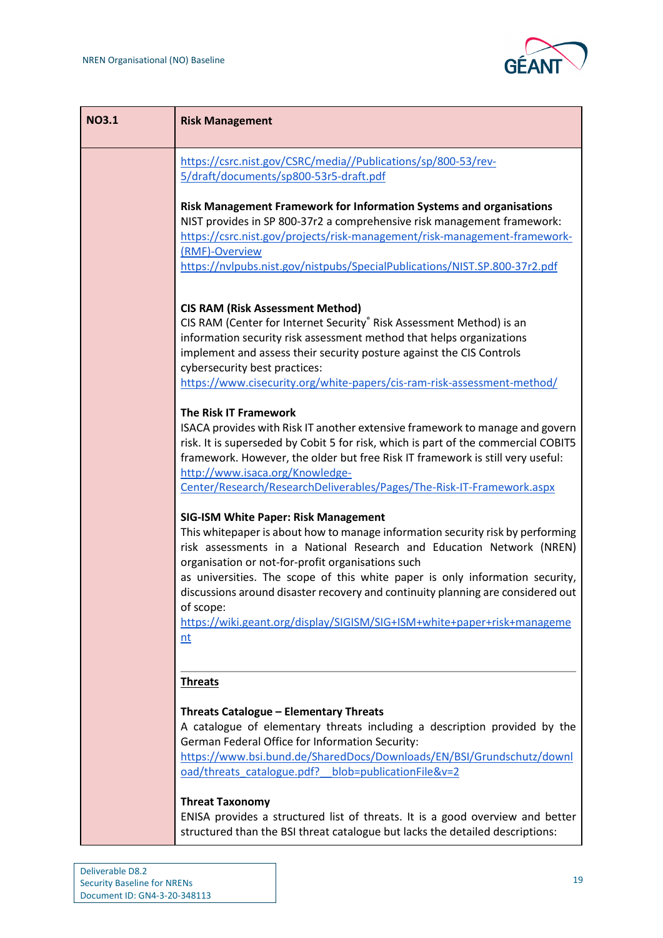

| <b>NO3.1</b> | <b>Risk Management</b>                                                                                                                                                                                                                                                                                                                                                                                                                                                                                                        |
|--------------|-------------------------------------------------------------------------------------------------------------------------------------------------------------------------------------------------------------------------------------------------------------------------------------------------------------------------------------------------------------------------------------------------------------------------------------------------------------------------------------------------------------------------------|
|              | https://csrc.nist.gov/CSRC/media//Publications/sp/800-53/rev-<br>5/draft/documents/sp800-53r5-draft.pdf                                                                                                                                                                                                                                                                                                                                                                                                                       |
|              | Risk Management Framework for Information Systems and organisations<br>NIST provides in SP 800-37r2 a comprehensive risk management framework:<br>https://csrc.nist.gov/projects/risk-management/risk-management-framework-<br>(RMF)-Overview<br>https://nvlpubs.nist.gov/nistpubs/SpecialPublications/NIST.SP.800-37r2.pdf                                                                                                                                                                                                   |
|              | <b>CIS RAM (Risk Assessment Method)</b><br>CIS RAM (Center for Internet Security <sup>®</sup> Risk Assessment Method) is an<br>information security risk assessment method that helps organizations<br>implement and assess their security posture against the CIS Controls<br>cybersecurity best practices:<br>https://www.cisecurity.org/white-papers/cis-ram-risk-assessment-method/                                                                                                                                       |
|              | <b>The Risk IT Framework</b><br>ISACA provides with Risk IT another extensive framework to manage and govern<br>risk. It is superseded by Cobit 5 for risk, which is part of the commercial COBIT5<br>framework. However, the older but free Risk IT framework is still very useful:<br>http://www.isaca.org/Knowledge-<br>Center/Research/ResearchDeliverables/Pages/The-Risk-IT-Framework.aspx                                                                                                                              |
|              | <b>SIG-ISM White Paper: Risk Management</b><br>This whitepaper is about how to manage information security risk by performing<br>risk assessments in a National Research and Education Network (NREN)<br>organisation or not-for-profit organisations such<br>as universities. The scope of this white paper is only information security,<br>discussions around disaster recovery and continuity planning are considered out<br>of scope:<br>https://wiki.geant.org/display/SIGISM/SIG+ISM+white+paper+risk+manageme<br>$nt$ |
|              | <b>Threats</b><br>Threats Catalogue - Elementary Threats<br>A catalogue of elementary threats including a description provided by the<br>German Federal Office for Information Security:<br>https://www.bsi.bund.de/SharedDocs/Downloads/EN/BSI/Grundschutz/downl<br>oad/threats_catalogue.pdf? blob=publicationFile&v=2                                                                                                                                                                                                      |
|              | <b>Threat Taxonomy</b><br>ENISA provides a structured list of threats. It is a good overview and better<br>structured than the BSI threat catalogue but lacks the detailed descriptions:                                                                                                                                                                                                                                                                                                                                      |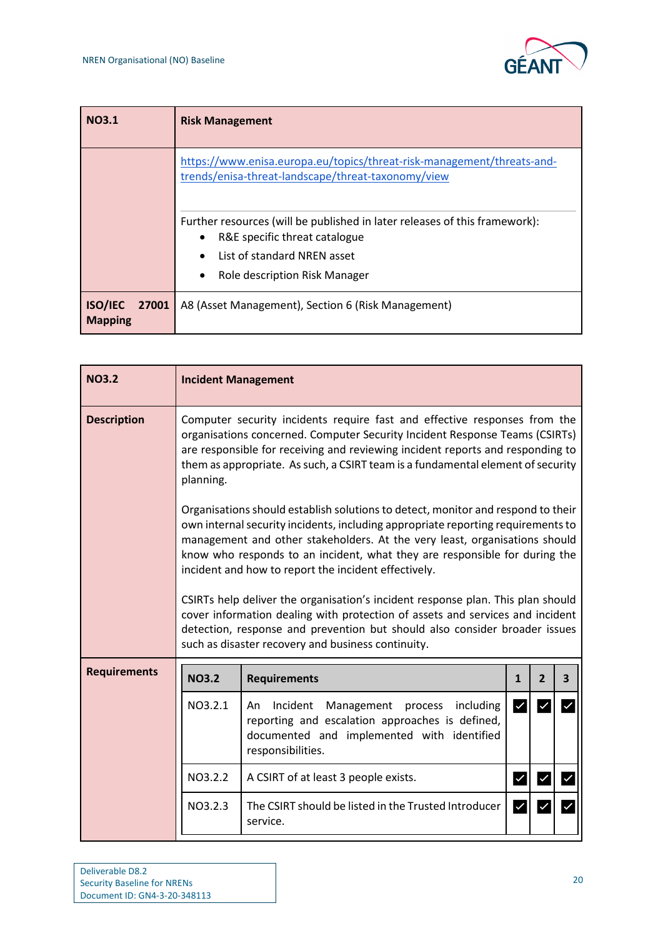

| <b>NO3.1</b>                              | <b>Risk Management</b>                                                                                                                                                                                                                                                                                      |
|-------------------------------------------|-------------------------------------------------------------------------------------------------------------------------------------------------------------------------------------------------------------------------------------------------------------------------------------------------------------|
|                                           | https://www.enisa.europa.eu/topics/threat-risk-management/threats-and-<br>trends/enisa-threat-landscape/threat-taxonomy/view<br>Further resources (will be published in later releases of this framework):<br>R&E specific threat catalogue<br>List of standard NREN asset<br>Role description Risk Manager |
| <b>ISO/IEC</b><br>27001<br><b>Mapping</b> | A8 (Asset Management), Section 6 (Risk Management)                                                                                                                                                                                                                                                          |

| <b>NO3.2</b>        | <b>Incident Management</b>                                                                                                                                                                                                                                                                                                                                                                                                                                                                                                                                                                                                                                                                       |                                                                                                                                                                            |                        |                |                         |  |  |  |
|---------------------|--------------------------------------------------------------------------------------------------------------------------------------------------------------------------------------------------------------------------------------------------------------------------------------------------------------------------------------------------------------------------------------------------------------------------------------------------------------------------------------------------------------------------------------------------------------------------------------------------------------------------------------------------------------------------------------------------|----------------------------------------------------------------------------------------------------------------------------------------------------------------------------|------------------------|----------------|-------------------------|--|--|--|
| <b>Description</b>  | Computer security incidents require fast and effective responses from the<br>organisations concerned. Computer Security Incident Response Teams (CSIRTs)<br>are responsible for receiving and reviewing incident reports and responding to<br>them as appropriate. As such, a CSIRT team is a fundamental element of security<br>planning.                                                                                                                                                                                                                                                                                                                                                       |                                                                                                                                                                            |                        |                |                         |  |  |  |
|                     | Organisations should establish solutions to detect, monitor and respond to their<br>own internal security incidents, including appropriate reporting requirements to<br>management and other stakeholders. At the very least, organisations should<br>know who responds to an incident, what they are responsible for during the<br>incident and how to report the incident effectively.<br>CSIRTs help deliver the organisation's incident response plan. This plan should<br>cover information dealing with protection of assets and services and incident<br>detection, response and prevention but should also consider broader issues<br>such as disaster recovery and business continuity. |                                                                                                                                                                            |                        |                |                         |  |  |  |
| <b>Requirements</b> | <b>NO3.2</b>                                                                                                                                                                                                                                                                                                                                                                                                                                                                                                                                                                                                                                                                                     | <b>Requirements</b>                                                                                                                                                        | 1                      | $\overline{2}$ | $\overline{\mathbf{3}}$ |  |  |  |
|                     | NO3.2.1                                                                                                                                                                                                                                                                                                                                                                                                                                                                                                                                                                                                                                                                                          | Incident<br>Management<br>including<br>process<br>An<br>reporting and escalation approaches is defined,<br>documented and implemented with identified<br>responsibilities. | $\vert\checkmark\vert$ | $\checkmark$   |                         |  |  |  |
|                     | NO3.2.2                                                                                                                                                                                                                                                                                                                                                                                                                                                                                                                                                                                                                                                                                          | A CSIRT of at least 3 people exists.                                                                                                                                       | $\vert\checkmark\vert$ | $\checkmark$   | $\checkmark$            |  |  |  |
|                     | The CSIRT should be listed in the Trusted Introducer<br>service.                                                                                                                                                                                                                                                                                                                                                                                                                                                                                                                                                                                                                                 | $\checkmark$                                                                                                                                                               |                        |                |                         |  |  |  |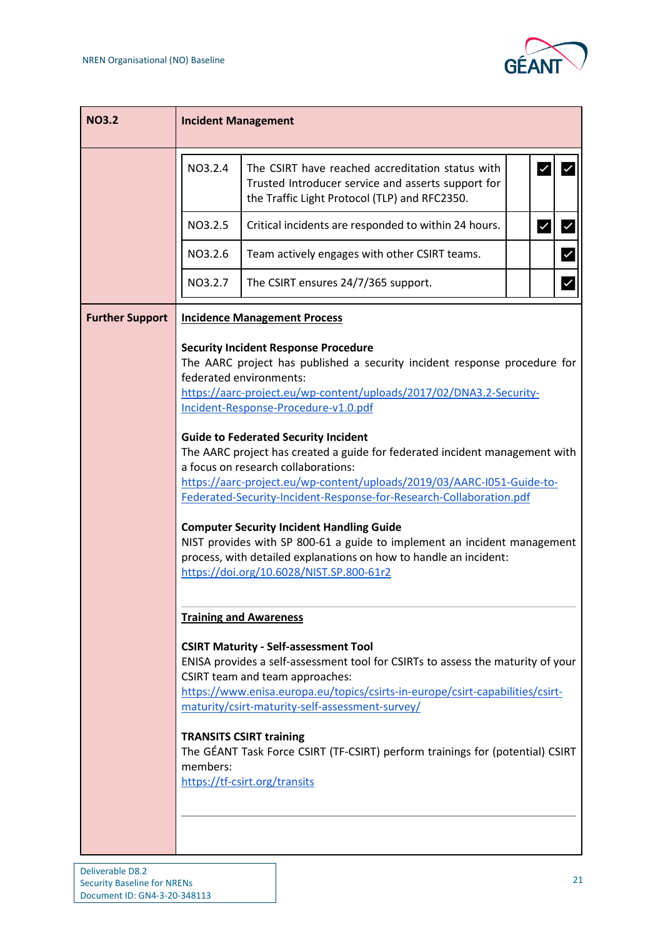

| <b>NO3.2</b>                                                                                                                                                                                                                                                                                                                                                                                                                                                                                            |         | <b>Incident Management</b>                                                                                                                                                                                                                                                                                                                                                                                                                                                                                                                                                                                                                                                                                                                                                                                                                |              |  |  |  |  |  |
|---------------------------------------------------------------------------------------------------------------------------------------------------------------------------------------------------------------------------------------------------------------------------------------------------------------------------------------------------------------------------------------------------------------------------------------------------------------------------------------------------------|---------|-------------------------------------------------------------------------------------------------------------------------------------------------------------------------------------------------------------------------------------------------------------------------------------------------------------------------------------------------------------------------------------------------------------------------------------------------------------------------------------------------------------------------------------------------------------------------------------------------------------------------------------------------------------------------------------------------------------------------------------------------------------------------------------------------------------------------------------------|--------------|--|--|--|--|--|
|                                                                                                                                                                                                                                                                                                                                                                                                                                                                                                         | NO3.2.4 | The CSIRT have reached accreditation status with<br>Trusted Introducer service and asserts support for<br>the Traffic Light Protocol (TLP) and RFC2350.                                                                                                                                                                                                                                                                                                                                                                                                                                                                                                                                                                                                                                                                                   |              |  |  |  |  |  |
|                                                                                                                                                                                                                                                                                                                                                                                                                                                                                                         | NO3.2.5 | Critical incidents are responded to within 24 hours.                                                                                                                                                                                                                                                                                                                                                                                                                                                                                                                                                                                                                                                                                                                                                                                      | √<br>∣✓      |  |  |  |  |  |
|                                                                                                                                                                                                                                                                                                                                                                                                                                                                                                         | NO3.2.6 | Team actively engages with other CSIRT teams.                                                                                                                                                                                                                                                                                                                                                                                                                                                                                                                                                                                                                                                                                                                                                                                             | $\checkmark$ |  |  |  |  |  |
|                                                                                                                                                                                                                                                                                                                                                                                                                                                                                                         | NO3.2.7 | The CSIRT ensures 24/7/365 support.                                                                                                                                                                                                                                                                                                                                                                                                                                                                                                                                                                                                                                                                                                                                                                                                       | $\checkmark$ |  |  |  |  |  |
| <b>Further Support</b>                                                                                                                                                                                                                                                                                                                                                                                                                                                                                  |         | <b>Incidence Management Process</b>                                                                                                                                                                                                                                                                                                                                                                                                                                                                                                                                                                                                                                                                                                                                                                                                       |              |  |  |  |  |  |
| <b>Security Incident Response Procedure</b><br>federated environments:<br>Incident-Response-Procedure-v1.0.pdf<br><b>Guide to Federated Security Incident</b><br>a focus on research collaborations:<br><b>Computer Security Incident Handling Guide</b><br>https://doi.org/10.6028/NIST.SP.800-61r2<br><b>Training and Awareness</b><br><b>CSIRT Maturity - Self-assessment Tool</b><br>CSIRT team and team approaches:<br><b>TRANSITS CSIRT training</b><br>members:<br>https://tf-csirt.org/transits |         | The AARC project has published a security incident response procedure for<br>https://aarc-project.eu/wp-content/uploads/2017/02/DNA3.2-Security-<br>The AARC project has created a guide for federated incident management with<br>https://aarc-project.eu/wp-content/uploads/2019/03/AARC-I051-Guide-to-<br>Federated-Security-Incident-Response-for-Research-Collaboration.pdf<br>NIST provides with SP 800-61 a guide to implement an incident management<br>process, with detailed explanations on how to handle an incident:<br>ENISA provides a self-assessment tool for CSIRTs to assess the maturity of your<br>https://www.enisa.europa.eu/topics/csirts-in-europe/csirt-capabilities/csirt-<br>maturity/csirt-maturity-self-assessment-survey/<br>The GÉANT Task Force CSIRT (TF-CSIRT) perform trainings for (potential) CSIRT |              |  |  |  |  |  |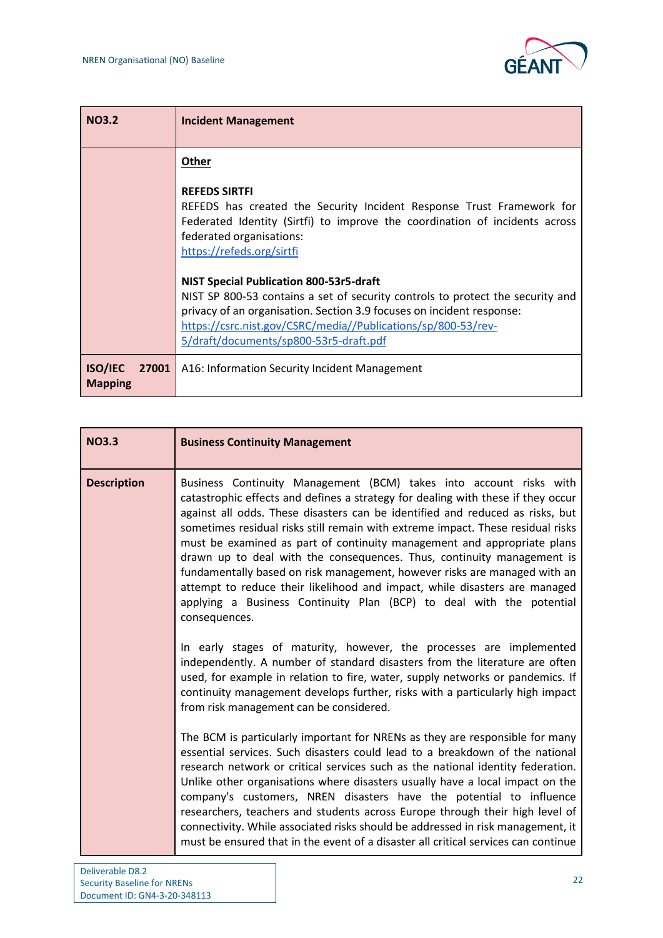

| <b>NO3.2</b>                              | <b>Incident Management</b>                                                                                                                                                                                                                                                                                           |
|-------------------------------------------|----------------------------------------------------------------------------------------------------------------------------------------------------------------------------------------------------------------------------------------------------------------------------------------------------------------------|
|                                           | <b>Other</b>                                                                                                                                                                                                                                                                                                         |
|                                           | <b>REFEDS SIRTFI</b><br>REFEDS has created the Security Incident Response Trust Framework for<br>Federated Identity (Sirtfi) to improve the coordination of incidents across<br>federated organisations:<br>https://refeds.org/sirtfi                                                                                |
|                                           | <b>NIST Special Publication 800-53r5-draft</b><br>NIST SP 800-53 contains a set of security controls to protect the security and<br>privacy of an organisation. Section 3.9 focuses on incident response:<br>https://csrc.nist.gov/CSRC/media//Publications/sp/800-53/rev-<br>5/draft/documents/sp800-53r5-draft.pdf |
| <b>ISO/IEC</b><br>27001<br><b>Mapping</b> | A16: Information Security Incident Management                                                                                                                                                                                                                                                                        |

| <b>NO3.3</b>       | <b>Business Continuity Management</b>                                                                                                                                                                                                                                                                                                                                                                                                                                                                                                                                                                                                                                                                                               |
|--------------------|-------------------------------------------------------------------------------------------------------------------------------------------------------------------------------------------------------------------------------------------------------------------------------------------------------------------------------------------------------------------------------------------------------------------------------------------------------------------------------------------------------------------------------------------------------------------------------------------------------------------------------------------------------------------------------------------------------------------------------------|
| <b>Description</b> | Business Continuity Management (BCM) takes into account risks with<br>catastrophic effects and defines a strategy for dealing with these if they occur<br>against all odds. These disasters can be identified and reduced as risks, but<br>sometimes residual risks still remain with extreme impact. These residual risks<br>must be examined as part of continuity management and appropriate plans<br>drawn up to deal with the consequences. Thus, continuity management is<br>fundamentally based on risk management, however risks are managed with an<br>attempt to reduce their likelihood and impact, while disasters are managed<br>applying a Business Continuity Plan (BCP) to deal with the potential<br>consequences. |
|                    | In early stages of maturity, however, the processes are implemented<br>independently. A number of standard disasters from the literature are often<br>used, for example in relation to fire, water, supply networks or pandemics. If<br>continuity management develops further, risks with a particularly high impact<br>from risk management can be considered.                                                                                                                                                                                                                                                                                                                                                                    |
|                    | The BCM is particularly important for NRENs as they are responsible for many<br>essential services. Such disasters could lead to a breakdown of the national<br>research network or critical services such as the national identity federation.<br>Unlike other organisations where disasters usually have a local impact on the<br>company's customers, NREN disasters have the potential to influence<br>researchers, teachers and students across Europe through their high level of<br>connectivity. While associated risks should be addressed in risk management, it<br>must be ensured that in the event of a disaster all critical services can continue                                                                    |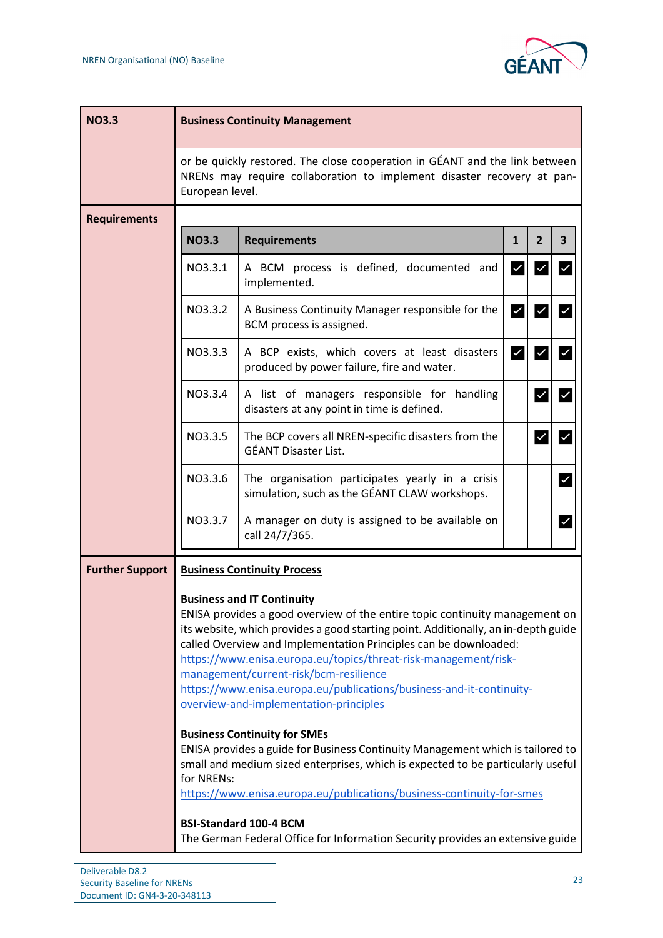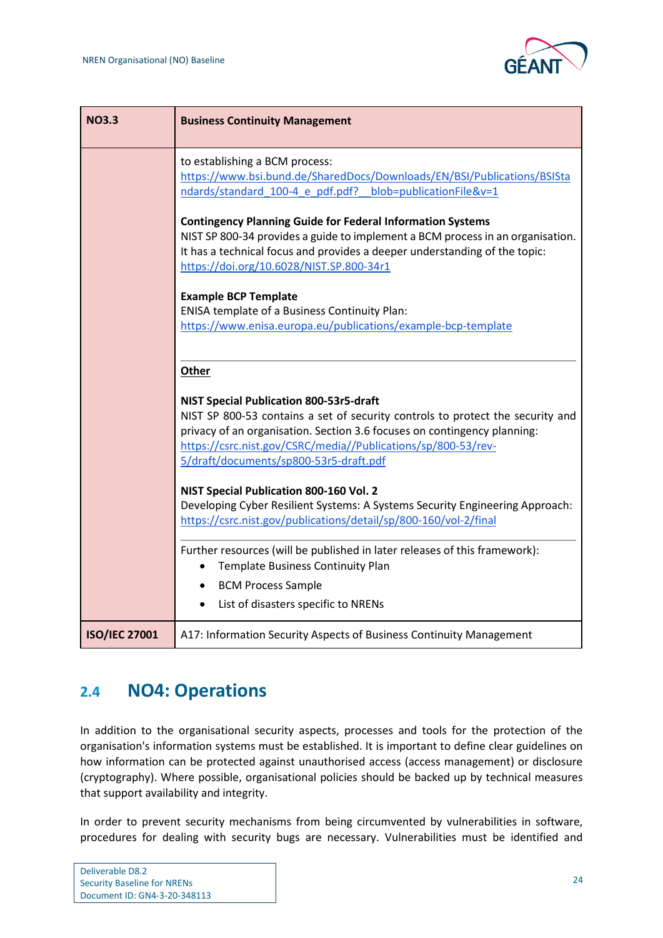

| <b>NO3.3</b>         | <b>Business Continuity Management</b>                                                                                                                                                                                                                                                                            |
|----------------------|------------------------------------------------------------------------------------------------------------------------------------------------------------------------------------------------------------------------------------------------------------------------------------------------------------------|
|                      | to establishing a BCM process:<br>https://www.bsi.bund.de/SharedDocs/Downloads/EN/BSI/Publications/BSISta<br>ndards/standard 100-4 e pdf.pdf? blob=publicationFile&v=1                                                                                                                                           |
|                      | <b>Contingency Planning Guide for Federal Information Systems</b><br>NIST SP 800-34 provides a guide to implement a BCM process in an organisation.<br>It has a technical focus and provides a deeper understanding of the topic:<br>https://doi.org/10.6028/NIST.SP.800-34r1                                    |
|                      | <b>Example BCP Template</b><br>ENISA template of a Business Continuity Plan:<br>https://www.enisa.europa.eu/publications/example-bcp-template                                                                                                                                                                    |
|                      | Other                                                                                                                                                                                                                                                                                                            |
|                      | NIST Special Publication 800-53r5-draft<br>NIST SP 800-53 contains a set of security controls to protect the security and<br>privacy of an organisation. Section 3.6 focuses on contingency planning:<br>https://csrc.nist.gov/CSRC/media//Publications/sp/800-53/rev-<br>5/draft/documents/sp800-53r5-draft.pdf |
|                      | NIST Special Publication 800-160 Vol. 2<br>Developing Cyber Resilient Systems: A Systems Security Engineering Approach:<br>https://csrc.nist.gov/publications/detail/sp/800-160/vol-2/final                                                                                                                      |
|                      | Further resources (will be published in later releases of this framework):<br>Template Business Continuity Plan<br>$\bullet$<br><b>BCM Process Sample</b><br>٠<br>List of disasters specific to NRENs<br>$\bullet$                                                                                               |
| <b>ISO/IEC 27001</b> | A17: Information Security Aspects of Business Continuity Management                                                                                                                                                                                                                                              |

## <span id="page-25-0"></span>**2.4 NO4: Operations**

In addition to the organisational security aspects, processes and tools for the protection of the organisation's information systems must be established. It is important to define clear guidelines on how information can be protected against unauthorised access (access management) or disclosure (cryptography). Where possible, organisational policies should be backed up by technical measures that support availability and integrity.

In order to prevent security mechanisms from being circumvented by vulnerabilities in software, procedures for dealing with security bugs are necessary. Vulnerabilities must be identified and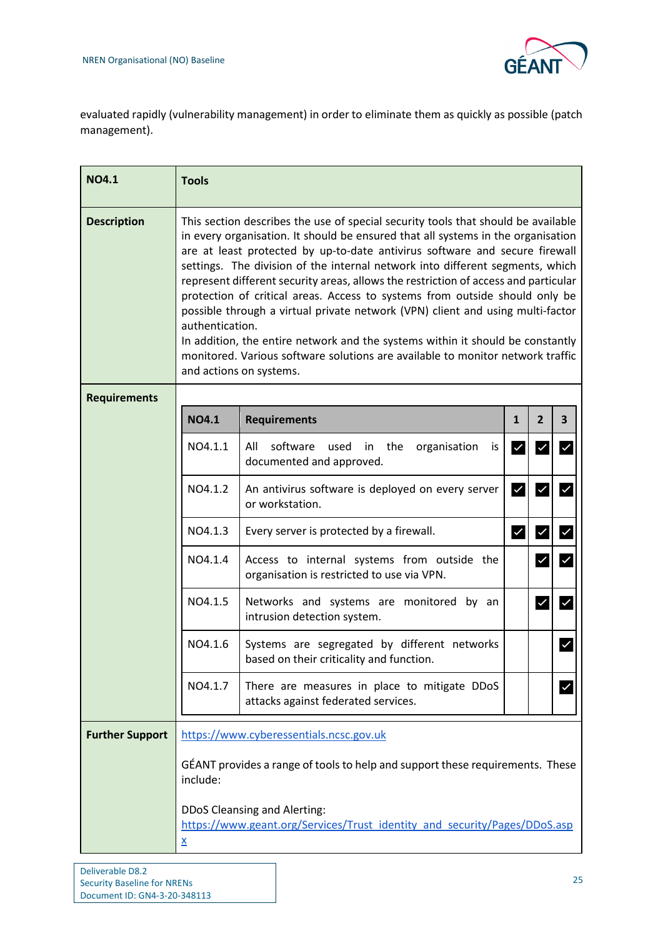

evaluated rapidly (vulnerability management) in order to eliminate them as quickly as possible (patch management).

| <b>NO4.1</b>           | <b>Tools</b>                                                                                                                                                                                                                                                                                                                                                                                                                                                                                                                                                                                                                                                                                                                                                                                                    |                                                                                                           |                        |                         |                         |
|------------------------|-----------------------------------------------------------------------------------------------------------------------------------------------------------------------------------------------------------------------------------------------------------------------------------------------------------------------------------------------------------------------------------------------------------------------------------------------------------------------------------------------------------------------------------------------------------------------------------------------------------------------------------------------------------------------------------------------------------------------------------------------------------------------------------------------------------------|-----------------------------------------------------------------------------------------------------------|------------------------|-------------------------|-------------------------|
| <b>Description</b>     | This section describes the use of special security tools that should be available<br>in every organisation. It should be ensured that all systems in the organisation<br>are at least protected by up-to-date antivirus software and secure firewall<br>settings. The division of the internal network into different segments, which<br>represent different security areas, allows the restriction of access and particular<br>protection of critical areas. Access to systems from outside should only be<br>possible through a virtual private network (VPN) client and using multi-factor<br>authentication.<br>In addition, the entire network and the systems within it should be constantly<br>monitored. Various software solutions are available to monitor network traffic<br>and actions on systems. |                                                                                                           |                        |                         |                         |
| <b>Requirements</b>    |                                                                                                                                                                                                                                                                                                                                                                                                                                                                                                                                                                                                                                                                                                                                                                                                                 |                                                                                                           |                        |                         |                         |
|                        | <b>NO4.1</b>                                                                                                                                                                                                                                                                                                                                                                                                                                                                                                                                                                                                                                                                                                                                                                                                    | <b>Requirements</b>                                                                                       | $\mathbf{1}$           | $\overline{2}$          | $\overline{\mathbf{3}}$ |
|                        | NO4.1.1                                                                                                                                                                                                                                                                                                                                                                                                                                                                                                                                                                                                                                                                                                                                                                                                         | All<br>software<br>used in the<br>organisation<br>is<br>documented and approved.                          | $\checkmark$           | $\checkmark$            | $\checkmark$            |
|                        | NO4.1.2                                                                                                                                                                                                                                                                                                                                                                                                                                                                                                                                                                                                                                                                                                                                                                                                         | An antivirus software is deployed on every server<br>or workstation.                                      | $\vert\checkmark\vert$ | $\checkmark$            | $\checkmark$            |
|                        | NO4.1.3                                                                                                                                                                                                                                                                                                                                                                                                                                                                                                                                                                                                                                                                                                                                                                                                         | Every server is protected by a firewall.                                                                  | $\checkmark$           | $\overline{\mathbf{y}}$ | $\checkmark$            |
|                        | NO4.1.4                                                                                                                                                                                                                                                                                                                                                                                                                                                                                                                                                                                                                                                                                                                                                                                                         | Access to internal systems from outside the<br>organisation is restricted to use via VPN.                 |                        | $\checkmark$            | $\checkmark$            |
|                        | NO4.1.5                                                                                                                                                                                                                                                                                                                                                                                                                                                                                                                                                                                                                                                                                                                                                                                                         | Networks and systems are monitored by an<br>intrusion detection system.                                   |                        | $\checkmark$            | $\checkmark$            |
|                        | NO4.1.6                                                                                                                                                                                                                                                                                                                                                                                                                                                                                                                                                                                                                                                                                                                                                                                                         | Systems are segregated by different networks<br>based on their criticality and function.                  |                        |                         |                         |
|                        | NO4.1.7                                                                                                                                                                                                                                                                                                                                                                                                                                                                                                                                                                                                                                                                                                                                                                                                         | There are measures in place to mitigate DDoS<br>attacks against federated services.                       |                        |                         |                         |
| <b>Further Support</b> |                                                                                                                                                                                                                                                                                                                                                                                                                                                                                                                                                                                                                                                                                                                                                                                                                 | https://www.cyberessentials.ncsc.gov.uk                                                                   |                        |                         |                         |
|                        | GÉANT provides a range of tools to help and support these requirements. These<br>include:                                                                                                                                                                                                                                                                                                                                                                                                                                                                                                                                                                                                                                                                                                                       |                                                                                                           |                        |                         |                         |
|                        | $\underline{x}$                                                                                                                                                                                                                                                                                                                                                                                                                                                                                                                                                                                                                                                                                                                                                                                                 | DDoS Cleansing and Alerting:<br>https://www.geant.org/Services/Trust_identity_and_security/Pages/DDoS.asp |                        |                         |                         |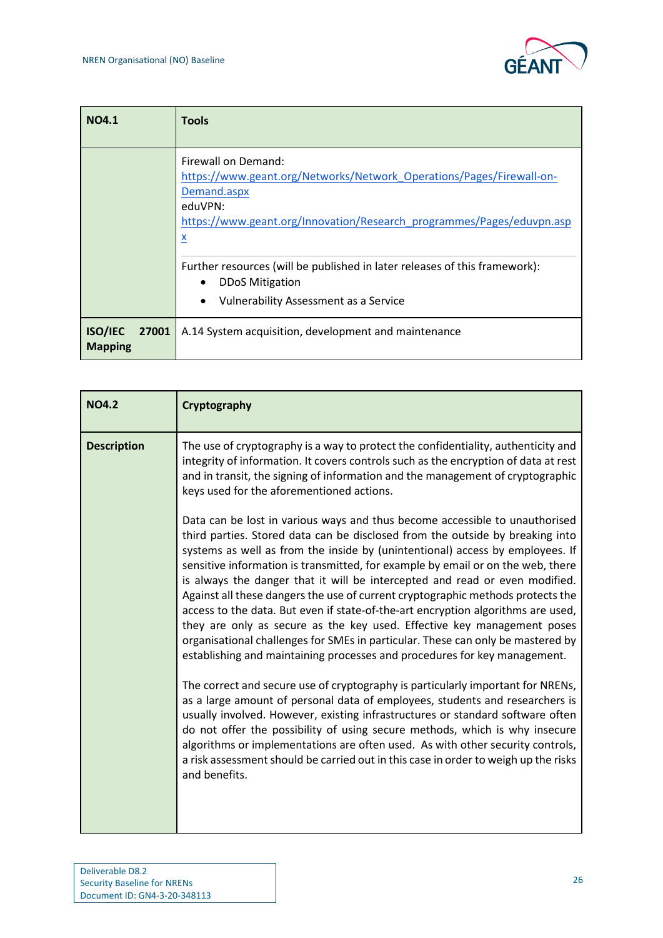

| <b>NO4.1</b>                              | <b>Tools</b>                                                                                                                                                                                                      |
|-------------------------------------------|-------------------------------------------------------------------------------------------------------------------------------------------------------------------------------------------------------------------|
|                                           | Firewall on Demand:<br>https://www.geant.org/Networks/Network Operations/Pages/Firewall-on-<br>Demand.aspx<br>eduVPN:<br>https://www.geant.org/Innovation/Research programmes/Pages/eduvpn.asp<br>$\underline{x}$ |
|                                           | Further resources (will be published in later releases of this framework):<br><b>DDoS Mitigation</b><br><b>Vulnerability Assessment as a Service</b>                                                              |
| <b>ISO/IEC</b><br>27001<br><b>Mapping</b> | A.14 System acquisition, development and maintenance                                                                                                                                                              |

| <b>NO4.2</b>       | Cryptography                                                                                                                                                                                                                                                                                                                                                                                                                                                                                                                                                                                                                                                                                                                                                                                                                      |
|--------------------|-----------------------------------------------------------------------------------------------------------------------------------------------------------------------------------------------------------------------------------------------------------------------------------------------------------------------------------------------------------------------------------------------------------------------------------------------------------------------------------------------------------------------------------------------------------------------------------------------------------------------------------------------------------------------------------------------------------------------------------------------------------------------------------------------------------------------------------|
| <b>Description</b> | The use of cryptography is a way to protect the confidentiality, authenticity and<br>integrity of information. It covers controls such as the encryption of data at rest<br>and in transit, the signing of information and the management of cryptographic<br>keys used for the aforementioned actions.                                                                                                                                                                                                                                                                                                                                                                                                                                                                                                                           |
|                    | Data can be lost in various ways and thus become accessible to unauthorised<br>third parties. Stored data can be disclosed from the outside by breaking into<br>systems as well as from the inside by (unintentional) access by employees. If<br>sensitive information is transmitted, for example by email or on the web, there<br>is always the danger that it will be intercepted and read or even modified.<br>Against all these dangers the use of current cryptographic methods protects the<br>access to the data. But even if state-of-the-art encryption algorithms are used,<br>they are only as secure as the key used. Effective key management poses<br>organisational challenges for SMEs in particular. These can only be mastered by<br>establishing and maintaining processes and procedures for key management. |
|                    | The correct and secure use of cryptography is particularly important for NRENs,<br>as a large amount of personal data of employees, students and researchers is<br>usually involved. However, existing infrastructures or standard software often<br>do not offer the possibility of using secure methods, which is why insecure<br>algorithms or implementations are often used. As with other security controls,<br>a risk assessment should be carried out in this case in order to weigh up the risks<br>and benefits.                                                                                                                                                                                                                                                                                                        |

 $\mathbf{I}$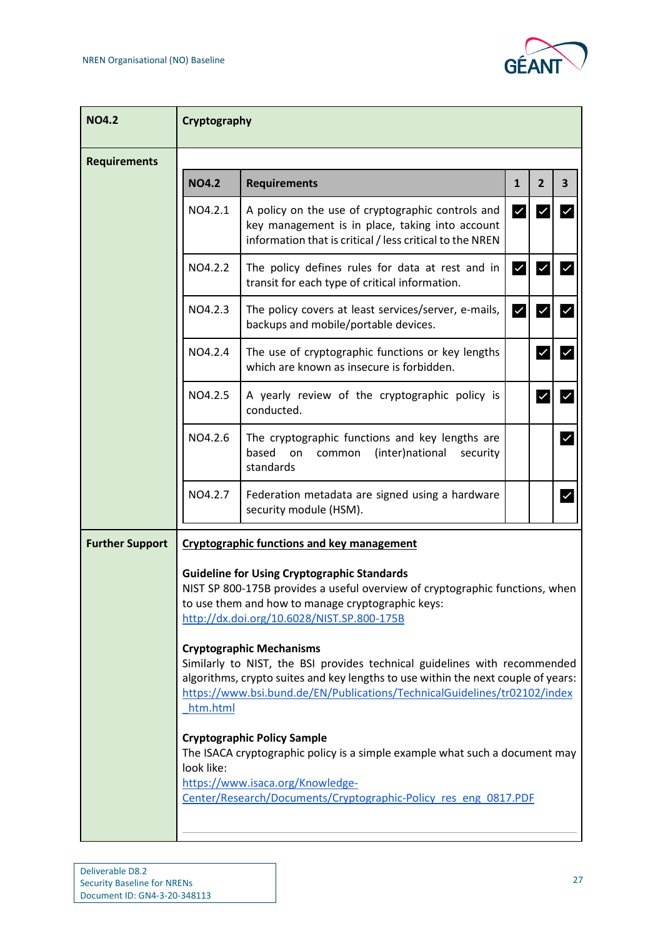

| <b>NO4.2</b>           | Cryptography           |                                                                                                                                                                                                                                                                                                                                                                                                                                                                                                                                                                                                                                                                                                                                                                                                          |                         |                       |                         |
|------------------------|------------------------|----------------------------------------------------------------------------------------------------------------------------------------------------------------------------------------------------------------------------------------------------------------------------------------------------------------------------------------------------------------------------------------------------------------------------------------------------------------------------------------------------------------------------------------------------------------------------------------------------------------------------------------------------------------------------------------------------------------------------------------------------------------------------------------------------------|-------------------------|-----------------------|-------------------------|
| <b>Requirements</b>    |                        |                                                                                                                                                                                                                                                                                                                                                                                                                                                                                                                                                                                                                                                                                                                                                                                                          |                         |                       |                         |
|                        | <b>NO4.2</b>           | <b>Requirements</b>                                                                                                                                                                                                                                                                                                                                                                                                                                                                                                                                                                                                                                                                                                                                                                                      | $\mathbf{1}$            | $\mathbf{2}$          | $\overline{\mathbf{3}}$ |
|                        | NO4.2.1                | A policy on the use of cryptographic controls and<br>key management is in place, taking into account<br>information that is critical / less critical to the NREN                                                                                                                                                                                                                                                                                                                                                                                                                                                                                                                                                                                                                                         | $\checkmark$            | $\checkmark$          | ✓                       |
|                        | NO4.2.2                | The policy defines rules for data at rest and in<br>transit for each type of critical information.                                                                                                                                                                                                                                                                                                                                                                                                                                                                                                                                                                                                                                                                                                       | $\vert\checkmark\vert$  | $\blacktriangleright$ | $\checkmark$            |
|                        | NO4.2.3                | The policy covers at least services/server, e-mails,<br>backups and mobile/portable devices.                                                                                                                                                                                                                                                                                                                                                                                                                                                                                                                                                                                                                                                                                                             | $\overline{\mathsf{v}}$ | $\checkmark$          | $\checkmark$            |
|                        | NO4.2.4                | The use of cryptographic functions or key lengths<br>which are known as insecure is forbidden.                                                                                                                                                                                                                                                                                                                                                                                                                                                                                                                                                                                                                                                                                                           |                         | $\checkmark$          | $\overline{\mathsf{v}}$ |
|                        | NO4.2.5                | A yearly review of the cryptographic policy is<br>conducted.                                                                                                                                                                                                                                                                                                                                                                                                                                                                                                                                                                                                                                                                                                                                             |                         | $\checkmark$          | $\overline{\mathsf{v}}$ |
|                        | NO4.2.6                | The cryptographic functions and key lengths are<br>based<br>(inter)national<br>on<br>security<br>common<br>standards                                                                                                                                                                                                                                                                                                                                                                                                                                                                                                                                                                                                                                                                                     |                         |                       | $\checkmark$            |
|                        | NO4.2.7                | Federation metadata are signed using a hardware<br>security module (HSM).                                                                                                                                                                                                                                                                                                                                                                                                                                                                                                                                                                                                                                                                                                                                |                         |                       | $\checkmark$            |
| <b>Further Support</b> | htm.html<br>look like: | <b>Cryptographic functions and key management</b><br><b>Guideline for Using Cryptographic Standards</b><br>NIST SP 800-175B provides a useful overview of cryptographic functions, when<br>to use them and how to manage cryptographic keys:<br>http://dx.doi.org/10.6028/NIST.SP.800-175B<br><b>Cryptographic Mechanisms</b><br>Similarly to NIST, the BSI provides technical guidelines with recommended<br>algorithms, crypto suites and key lengths to use within the next couple of years:<br>https://www.bsi.bund.de/EN/Publications/TechnicalGuidelines/tr02102/index<br><b>Cryptographic Policy Sample</b><br>The ISACA cryptographic policy is a simple example what such a document may<br>https://www.isaca.org/Knowledge-<br>Center/Research/Documents/Cryptographic-Policy res eng 0817.PDF |                         |                       |                         |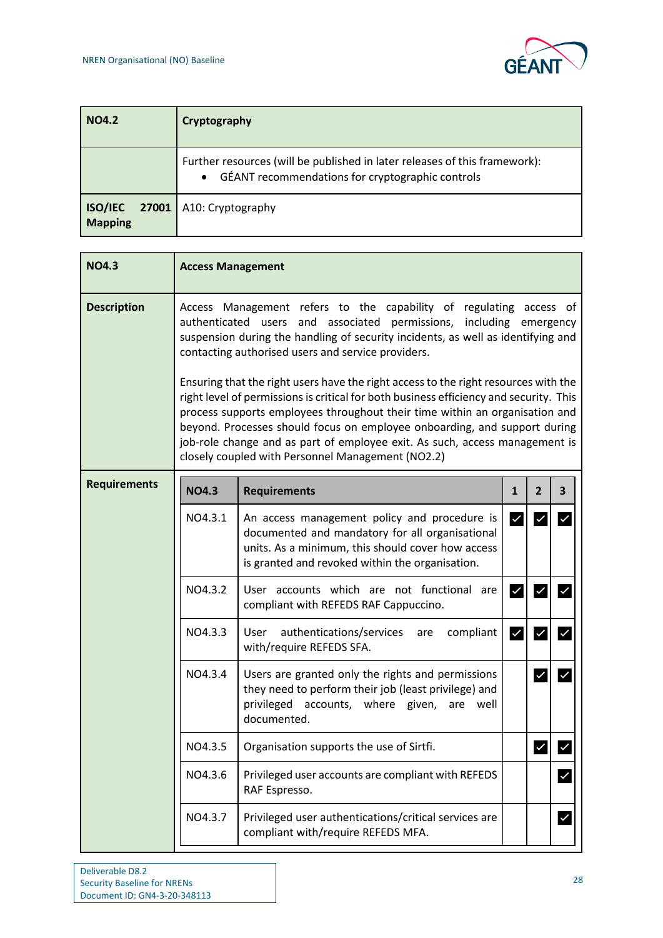

| <b>NO4.2</b>   | Cryptography                                                                                                                                |
|----------------|---------------------------------------------------------------------------------------------------------------------------------------------|
|                | Further resources (will be published in later releases of this framework):<br>GÉANT recommendations for cryptographic controls<br>$\bullet$ |
| <b>Mapping</b> | <b>ISO/IEC</b> 27001   A10: Cryptography                                                                                                    |

| <b>NO4.3</b>        | <b>Access Management</b> |                                                                                                                                                                                                                                                                                                                                                                                                                                                                                                                                                                                                                                                                                                                                                  |              |                      |                         |
|---------------------|--------------------------|--------------------------------------------------------------------------------------------------------------------------------------------------------------------------------------------------------------------------------------------------------------------------------------------------------------------------------------------------------------------------------------------------------------------------------------------------------------------------------------------------------------------------------------------------------------------------------------------------------------------------------------------------------------------------------------------------------------------------------------------------|--------------|----------------------|-------------------------|
| <b>Description</b>  | authenticated users      | Access Management refers to the capability of regulating access of<br>and associated permissions, including emergency<br>suspension during the handling of security incidents, as well as identifying and<br>contacting authorised users and service providers.<br>Ensuring that the right users have the right access to the right resources with the<br>right level of permissions is critical for both business efficiency and security. This<br>process supports employees throughout their time within an organisation and<br>beyond. Processes should focus on employee onboarding, and support during<br>job-role change and as part of employee exit. As such, access management is<br>closely coupled with Personnel Management (NO2.2) |              |                      |                         |
| <b>Requirements</b> | <b>NO4.3</b>             | <b>Requirements</b>                                                                                                                                                                                                                                                                                                                                                                                                                                                                                                                                                                                                                                                                                                                              | $\mathbf{1}$ | $\overline{2}$       | $\overline{\mathbf{3}}$ |
|                     | NO4.3.1                  | An access management policy and procedure is<br>documented and mandatory for all organisational<br>units. As a minimum, this should cover how access<br>is granted and revoked within the organisation.                                                                                                                                                                                                                                                                                                                                                                                                                                                                                                                                          | $\checkmark$ | $\checkmark$         | $\checkmark$            |
|                     | NO4.3.2                  | User accounts which are not functional are<br>compliant with REFEDS RAF Cappuccino.                                                                                                                                                                                                                                                                                                                                                                                                                                                                                                                                                                                                                                                              | V            | $\checkmark$         |                         |
|                     | NO4.3.3                  | authentications/services<br>compliant<br>User<br>are<br>with/require REFEDS SFA.                                                                                                                                                                                                                                                                                                                                                                                                                                                                                                                                                                                                                                                                 | $\checkmark$ | $\checkmark$         | $\checkmark$            |
|                     | NO4.3.4                  | Users are granted only the rights and permissions<br>they need to perform their job (least privilege) and<br>privileged accounts, where given, are well<br>documented.                                                                                                                                                                                                                                                                                                                                                                                                                                                                                                                                                                           |              | $\blacktriangledown$ | $\checkmark$            |
|                     | NO4.3.5                  | Organisation supports the use of Sirtfi.                                                                                                                                                                                                                                                                                                                                                                                                                                                                                                                                                                                                                                                                                                         |              |                      |                         |
|                     | NO4.3.6                  | Privileged user accounts are compliant with REFEDS<br>RAF Espresso.                                                                                                                                                                                                                                                                                                                                                                                                                                                                                                                                                                                                                                                                              |              |                      | $\checkmark$            |
|                     | NO4.3.7                  | Privileged user authentications/critical services are<br>compliant with/require REFEDS MFA.                                                                                                                                                                                                                                                                                                                                                                                                                                                                                                                                                                                                                                                      |              |                      |                         |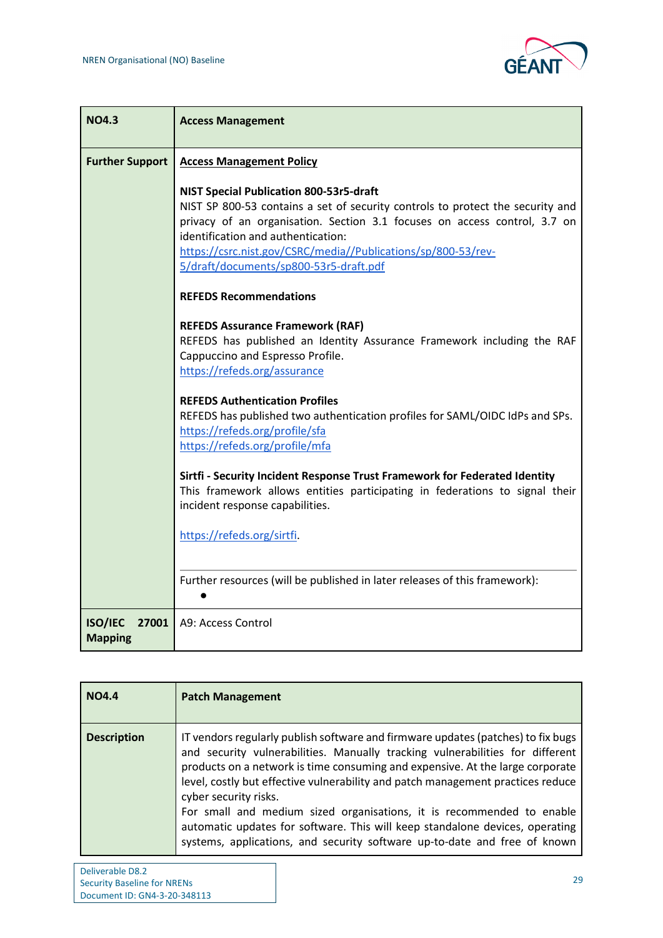

| <b>NO4.3</b>                              | <b>Access Management</b>                                                                                                                                                                                                                                                                                                                                       |  |  |  |
|-------------------------------------------|----------------------------------------------------------------------------------------------------------------------------------------------------------------------------------------------------------------------------------------------------------------------------------------------------------------------------------------------------------------|--|--|--|
| <b>Further Support</b>                    | <b>Access Management Policy</b>                                                                                                                                                                                                                                                                                                                                |  |  |  |
|                                           | <b>NIST Special Publication 800-53r5-draft</b><br>NIST SP 800-53 contains a set of security controls to protect the security and<br>privacy of an organisation. Section 3.1 focuses on access control, 3.7 on<br>identification and authentication:<br>https://csrc.nist.gov/CSRC/media//Publications/sp/800-53/rev-<br>5/draft/documents/sp800-53r5-draft.pdf |  |  |  |
|                                           | <b>REFEDS Recommendations</b>                                                                                                                                                                                                                                                                                                                                  |  |  |  |
|                                           | <b>REFEDS Assurance Framework (RAF)</b><br>REFEDS has published an Identity Assurance Framework including the RAF<br>Cappuccino and Espresso Profile.<br>https://refeds.org/assurance                                                                                                                                                                          |  |  |  |
|                                           | <b>REFEDS Authentication Profiles</b><br>REFEDS has published two authentication profiles for SAML/OIDC IdPs and SPs.<br>https://refeds.org/profile/sfa<br>https://refeds.org/profile/mfa                                                                                                                                                                      |  |  |  |
|                                           | Sirtfi - Security Incident Response Trust Framework for Federated Identity<br>This framework allows entities participating in federations to signal their<br>incident response capabilities.                                                                                                                                                                   |  |  |  |
|                                           | https://refeds.org/sirtfi.                                                                                                                                                                                                                                                                                                                                     |  |  |  |
|                                           | Further resources (will be published in later releases of this framework):                                                                                                                                                                                                                                                                                     |  |  |  |
| <b>ISO/IEC</b><br>27001<br><b>Mapping</b> | A9: Access Control                                                                                                                                                                                                                                                                                                                                             |  |  |  |

| <b>NO4.4</b>       | <b>Patch Management</b>                                                                                                                                                                                                                                                                                                                                                                                                                                                                                                                                                                              |
|--------------------|------------------------------------------------------------------------------------------------------------------------------------------------------------------------------------------------------------------------------------------------------------------------------------------------------------------------------------------------------------------------------------------------------------------------------------------------------------------------------------------------------------------------------------------------------------------------------------------------------|
| <b>Description</b> | IT vendors regularly publish software and firmware updates (patches) to fix bugs<br>and security vulnerabilities. Manually tracking vulnerabilities for different<br>products on a network is time consuming and expensive. At the large corporate<br>level, costly but effective vulnerability and patch management practices reduce<br>cyber security risks.<br>For small and medium sized organisations, it is recommended to enable<br>automatic updates for software. This will keep standalone devices, operating<br>systems, applications, and security software up-to-date and free of known |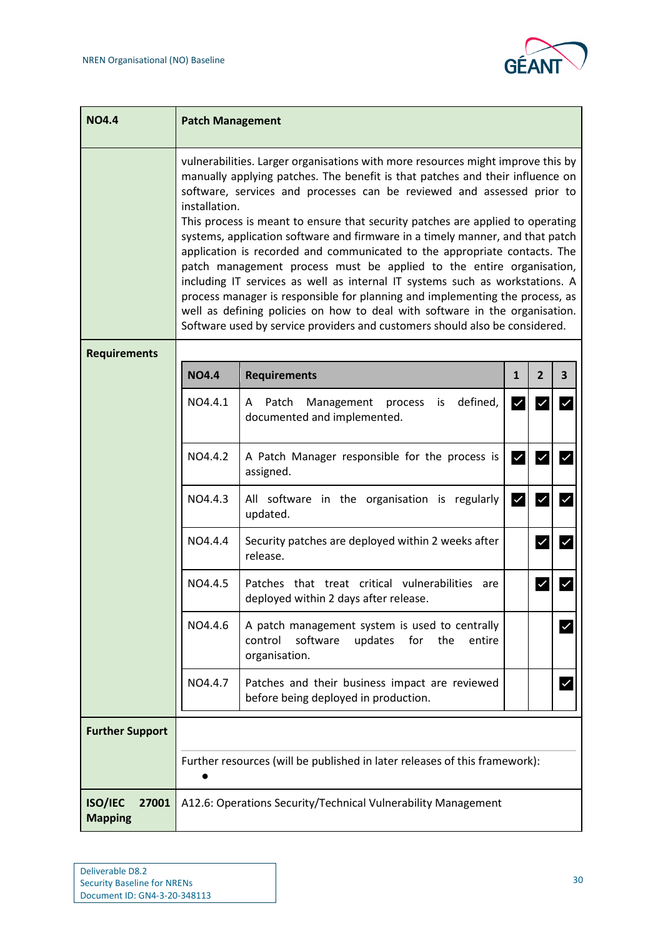

| <b>NO4.4</b>                       | <b>Patch Management</b>                                                                                                                                                                                                                                                                                                                                                                                                                                                                                                                                                                                                                                                                                                                                                                                                                                                                                           |                                                                                                                           |              |                |                         |  |
|------------------------------------|-------------------------------------------------------------------------------------------------------------------------------------------------------------------------------------------------------------------------------------------------------------------------------------------------------------------------------------------------------------------------------------------------------------------------------------------------------------------------------------------------------------------------------------------------------------------------------------------------------------------------------------------------------------------------------------------------------------------------------------------------------------------------------------------------------------------------------------------------------------------------------------------------------------------|---------------------------------------------------------------------------------------------------------------------------|--------------|----------------|-------------------------|--|
|                                    | vulnerabilities. Larger organisations with more resources might improve this by<br>manually applying patches. The benefit is that patches and their influence on<br>software, services and processes can be reviewed and assessed prior to<br>installation.<br>This process is meant to ensure that security patches are applied to operating<br>systems, application software and firmware in a timely manner, and that patch<br>application is recorded and communicated to the appropriate contacts. The<br>patch management process must be applied to the entire organisation,<br>including IT services as well as internal IT systems such as workstations. A<br>process manager is responsible for planning and implementing the process, as<br>well as defining policies on how to deal with software in the organisation.<br>Software used by service providers and customers should also be considered. |                                                                                                                           |              |                |                         |  |
| <b>Requirements</b>                |                                                                                                                                                                                                                                                                                                                                                                                                                                                                                                                                                                                                                                                                                                                                                                                                                                                                                                                   |                                                                                                                           |              |                |                         |  |
|                                    | <b>NO4.4</b>                                                                                                                                                                                                                                                                                                                                                                                                                                                                                                                                                                                                                                                                                                                                                                                                                                                                                                      | <b>Requirements</b>                                                                                                       | $\mathbf{1}$ | $\overline{2}$ | $\overline{\mathbf{3}}$ |  |
|                                    | NO4.4.1                                                                                                                                                                                                                                                                                                                                                                                                                                                                                                                                                                                                                                                                                                                                                                                                                                                                                                           | defined,<br>Patch<br>Management<br>A<br>process<br>is<br>documented and implemented.                                      | M            | $\checkmark$   | $\checkmark$            |  |
|                                    | NO4.4.2                                                                                                                                                                                                                                                                                                                                                                                                                                                                                                                                                                                                                                                                                                                                                                                                                                                                                                           | A Patch Manager responsible for the process is<br>assigned.                                                               | $\checkmark$ | $\checkmark$   | $\checkmark$            |  |
|                                    | NO4.4.3                                                                                                                                                                                                                                                                                                                                                                                                                                                                                                                                                                                                                                                                                                                                                                                                                                                                                                           | All software in the organisation is regularly<br>updated.                                                                 | $\checkmark$ | $\checkmark$   | $\checkmark$            |  |
|                                    | NO4.4.4                                                                                                                                                                                                                                                                                                                                                                                                                                                                                                                                                                                                                                                                                                                                                                                                                                                                                                           | Security patches are deployed within 2 weeks after<br>release.                                                            |              | $\checkmark$   | V                       |  |
|                                    | NO4.4.5                                                                                                                                                                                                                                                                                                                                                                                                                                                                                                                                                                                                                                                                                                                                                                                                                                                                                                           | Patches that treat critical vulnerabilities are<br>deployed within 2 days after release.                                  |              |                |                         |  |
|                                    | NO4.4.6                                                                                                                                                                                                                                                                                                                                                                                                                                                                                                                                                                                                                                                                                                                                                                                                                                                                                                           | A patch management system is used to centrally<br>software<br>updates<br>control<br>for<br>the<br>entire<br>organisation. |              |                |                         |  |
|                                    | NO4.4.7                                                                                                                                                                                                                                                                                                                                                                                                                                                                                                                                                                                                                                                                                                                                                                                                                                                                                                           | Patches and their business impact are reviewed<br>before being deployed in production.                                    |              |                | $\checkmark$            |  |
| <b>Further Support</b>             |                                                                                                                                                                                                                                                                                                                                                                                                                                                                                                                                                                                                                                                                                                                                                                                                                                                                                                                   |                                                                                                                           |              |                |                         |  |
|                                    | Further resources (will be published in later releases of this framework):                                                                                                                                                                                                                                                                                                                                                                                                                                                                                                                                                                                                                                                                                                                                                                                                                                        |                                                                                                                           |              |                |                         |  |
| ISO/IEC<br>27001<br><b>Mapping</b> |                                                                                                                                                                                                                                                                                                                                                                                                                                                                                                                                                                                                                                                                                                                                                                                                                                                                                                                   | A12.6: Operations Security/Technical Vulnerability Management                                                             |              |                |                         |  |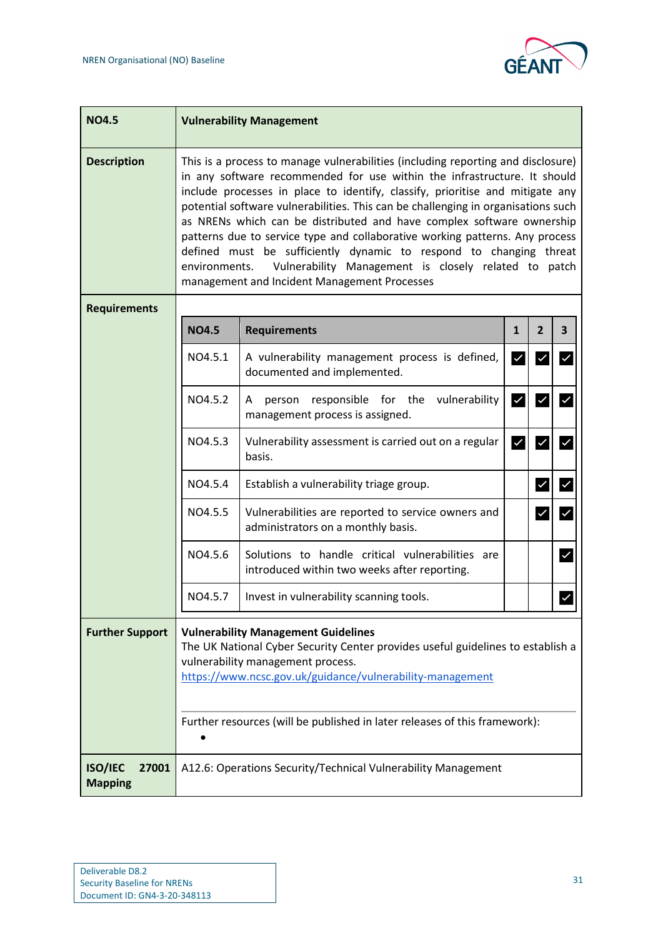

| <b>NO4.5</b>                              | <b>Vulnerability Management</b>                                                                                                                                                                                                                                                                                                                                                                                                                                                                                                                                                                                                                                                            |                                                                                                  |                         |                                         |  |  |
|-------------------------------------------|--------------------------------------------------------------------------------------------------------------------------------------------------------------------------------------------------------------------------------------------------------------------------------------------------------------------------------------------------------------------------------------------------------------------------------------------------------------------------------------------------------------------------------------------------------------------------------------------------------------------------------------------------------------------------------------------|--------------------------------------------------------------------------------------------------|-------------------------|-----------------------------------------|--|--|
| <b>Description</b>                        | This is a process to manage vulnerabilities (including reporting and disclosure)<br>in any software recommended for use within the infrastructure. It should<br>include processes in place to identify, classify, prioritise and mitigate any<br>potential software vulnerabilities. This can be challenging in organisations such<br>as NRENs which can be distributed and have complex software ownership<br>patterns due to service type and collaborative working patterns. Any process<br>defined must be sufficiently dynamic to respond to changing threat<br>Vulnerability Management is closely related to patch<br>environments.<br>management and Incident Management Processes |                                                                                                  |                         |                                         |  |  |
| <b>Requirements</b>                       |                                                                                                                                                                                                                                                                                                                                                                                                                                                                                                                                                                                                                                                                                            |                                                                                                  |                         |                                         |  |  |
|                                           | <b>NO4.5</b>                                                                                                                                                                                                                                                                                                                                                                                                                                                                                                                                                                                                                                                                               | <b>Requirements</b>                                                                              | $\mathbf{1}$            | $\overline{2}$<br>3                     |  |  |
|                                           | NO4.5.1                                                                                                                                                                                                                                                                                                                                                                                                                                                                                                                                                                                                                                                                                    | A vulnerability management process is defined,<br>documented and implemented.                    | $\checkmark$            | $\overline{\mathsf{v}}$<br>$\checkmark$ |  |  |
|                                           | NO4.5.2                                                                                                                                                                                                                                                                                                                                                                                                                                                                                                                                                                                                                                                                                    | A person responsible for the vulnerability<br>management process is assigned.                    | ∣✓                      | $\checkmark$<br>$\checkmark$            |  |  |
|                                           | NO4.5.3                                                                                                                                                                                                                                                                                                                                                                                                                                                                                                                                                                                                                                                                                    | Vulnerability assessment is carried out on a regular<br>basis.                                   | $\overline{\mathsf{v}}$ | $\checkmark$<br>$\checkmark$            |  |  |
|                                           | NO4.5.4                                                                                                                                                                                                                                                                                                                                                                                                                                                                                                                                                                                                                                                                                    | Establish a vulnerability triage group.                                                          |                         | $\checkmark$<br>$\checkmark$            |  |  |
|                                           | NO4.5.5                                                                                                                                                                                                                                                                                                                                                                                                                                                                                                                                                                                                                                                                                    | Vulnerabilities are reported to service owners and<br>administrators on a monthly basis.         |                         | $\checkmark$<br>$\checkmark$            |  |  |
|                                           | NO4.5.6                                                                                                                                                                                                                                                                                                                                                                                                                                                                                                                                                                                                                                                                                    | Solutions to handle critical vulnerabilities are<br>introduced within two weeks after reporting. |                         | $\checkmark$                            |  |  |
|                                           | NO4.5.7                                                                                                                                                                                                                                                                                                                                                                                                                                                                                                                                                                                                                                                                                    | Invest in vulnerability scanning tools.                                                          |                         |                                         |  |  |
| <b>Further Support</b>                    | <b>Vulnerability Management Guidelines</b><br>The UK National Cyber Security Center provides useful guidelines to establish a<br>vulnerability management process.<br>https://www.ncsc.gov.uk/guidance/vulnerability-management<br>Further resources (will be published in later releases of this framework):                                                                                                                                                                                                                                                                                                                                                                              |                                                                                                  |                         |                                         |  |  |
| <b>ISO/IEC</b><br>27001<br><b>Mapping</b> |                                                                                                                                                                                                                                                                                                                                                                                                                                                                                                                                                                                                                                                                                            | A12.6: Operations Security/Technical Vulnerability Management                                    |                         |                                         |  |  |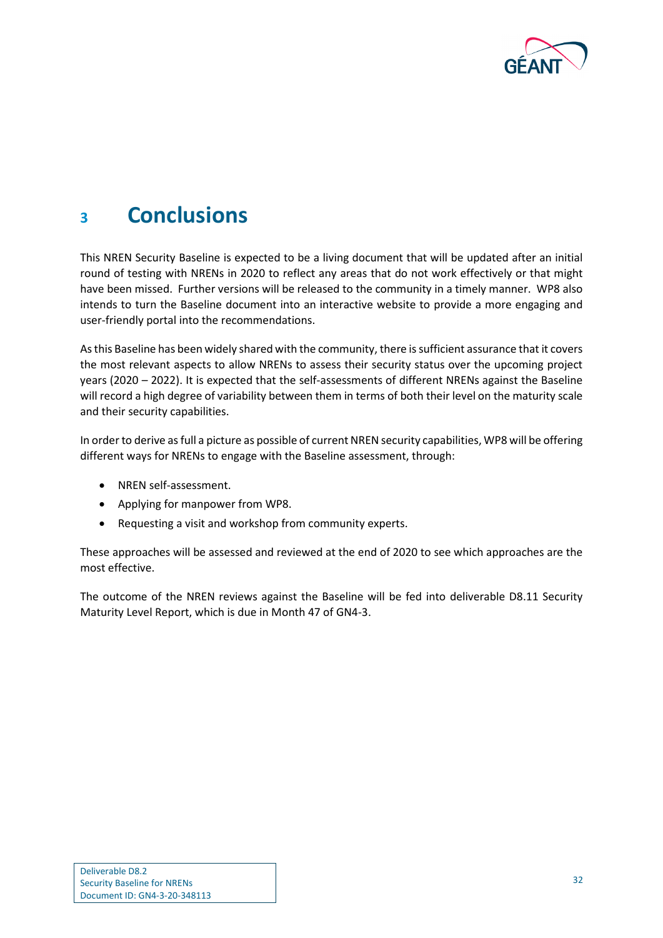

# <span id="page-33-0"></span>**<sup>3</sup> Conclusions**

This NREN Security Baseline is expected to be a living document that will be updated after an initial round of testing with NRENs in 2020 to reflect any areas that do not work effectively or that might have been missed. Further versions will be released to the community in a timely manner. WP8 also intends to turn the Baseline document into an interactive website to provide a more engaging and user-friendly portal into the recommendations.

As this Baseline has been widely shared with the community, there is sufficient assurance that it covers the most relevant aspects to allow NRENs to assess their security status over the upcoming project years (2020 – 2022). It is expected that the self-assessments of different NRENs against the Baseline will record a high degree of variability between them in terms of both their level on the maturity scale and their security capabilities.

In order to derive as full a picture as possible of current NREN security capabilities, WP8 will be offering different ways for NRENs to engage with the Baseline assessment, through:

- NREN self-assessment.
- Applying for manpower from WP8.
- Requesting a visit and workshop from community experts.

These approaches will be assessed and reviewed at the end of 2020 to see which approaches are the most effective.

The outcome of the NREN reviews against the Baseline will be fed into deliverable D8.11 Security Maturity Level Report, which is due in Month 47 of GN4-3.